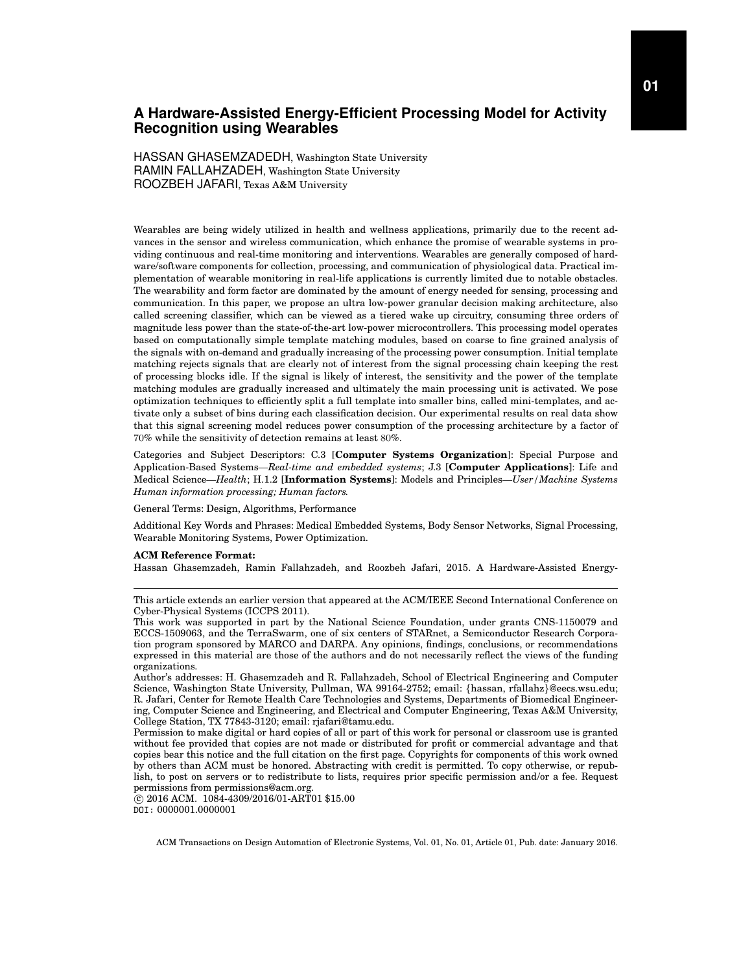HASSAN GHASEMZADEDH, Washington State University RAMIN FALLAHZADEH, Washington State University ROOZBEH JAFARI, Texas A&M University

Wearables are being widely utilized in health and wellness applications, primarily due to the recent advances in the sensor and wireless communication, which enhance the promise of wearable systems in providing continuous and real-time monitoring and interventions. Wearables are generally composed of hardware/software components for collection, processing, and communication of physiological data. Practical implementation of wearable monitoring in real-life applications is currently limited due to notable obstacles. The wearability and form factor are dominated by the amount of energy needed for sensing, processing and communication. In this paper, we propose an ultra low-power granular decision making architecture, also called screening classifier, which can be viewed as a tiered wake up circuitry, consuming three orders of magnitude less power than the state-of-the-art low-power microcontrollers. This processing model operates based on computationally simple template matching modules, based on coarse to fine grained analysis of the signals with on-demand and gradually increasing of the processing power consumption. Initial template matching rejects signals that are clearly not of interest from the signal processing chain keeping the rest of processing blocks idle. If the signal is likely of interest, the sensitivity and the power of the template matching modules are gradually increased and ultimately the main processing unit is activated. We pose optimization techniques to efficiently split a full template into smaller bins, called mini-templates, and activate only a subset of bins during each classification decision. Our experimental results on real data show that this signal screening model reduces power consumption of the processing architecture by a factor of 70% while the sensitivity of detection remains at least 80%.

Categories and Subject Descriptors: C.3 [**Computer Systems Organization**]: Special Purpose and Application-Based Systems—*Real-time and embedded systems*; J.3 [**Computer Applications**]: Life and Medical Science—*Health*; H.1.2 [**Information Systems**]: Models and Principles—*User/Machine Systems Human information processing; Human factors.*

General Terms: Design, Algorithms, Performance

Additional Key Words and Phrases: Medical Embedded Systems, Body Sensor Networks, Signal Processing, Wearable Monitoring Systems, Power Optimization.

#### **ACM Reference Format:**

Hassan Ghasemzadeh, Ramin Fallahzadeh, and Roozbeh Jafari, 2015. A Hardware-Assisted Energy-

 c 2016 ACM. 1084-4309/2016/01-ART01 \$15.00 DOI: 0000001.0000001

This article extends an earlier version that appeared at the ACM/IEEE Second International Conference on Cyber-Physical Systems (ICCPS 2011).

This work was supported in part by the National Science Foundation, under grants CNS-1150079 and ECCS-1509063, and the TerraSwarm, one of six centers of STARnet, a Semiconductor Research Corporation program sponsored by MARCO and DARPA. Any opinions, findings, conclusions, or recommendations expressed in this material are those of the authors and do not necessarily reflect the views of the funding organizations.

Author's addresses: H. Ghasemzadeh and R. Fallahzadeh, School of Electrical Engineering and Computer Science, Washington State University, Pullman, WA 99164-2752; email: {hassan, rfallahz}@eecs.wsu.edu; R. Jafari, Center for Remote Health Care Technologies and Systems, Departments of Biomedical Engineering, Computer Science and Engineering, and Electrical and Computer Engineering, Texas A&M University, College Station, TX 77843-3120; email: rjafari@tamu.edu.

Permission to make digital or hard copies of all or part of this work for personal or classroom use is granted without fee provided that copies are not made or distributed for profit or commercial advantage and that copies bear this notice and the full citation on the first page. Copyrights for components of this work owned by others than ACM must be honored. Abstracting with credit is permitted. To copy otherwise, or republish, to post on servers or to redistribute to lists, requires prior specific permission and/or a fee. Request permissions from permissions@acm.org.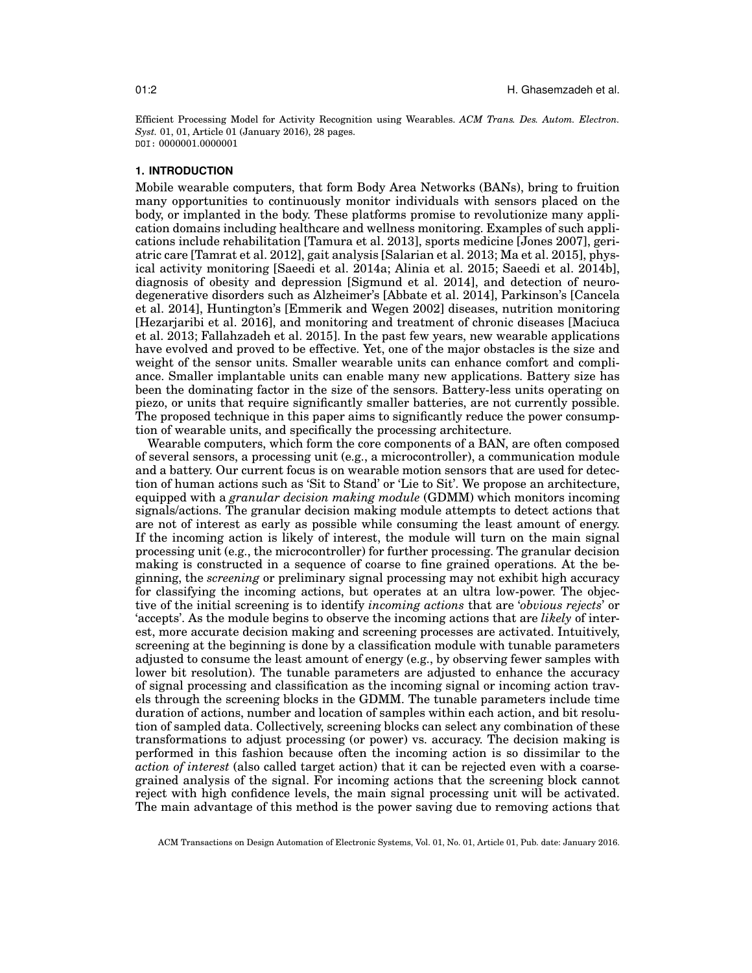Efficient Processing Model for Activity Recognition using Wearables. *ACM Trans. Des. Autom. Electron. Syst.* 01, 01, Article 01 (January 2016), 28 pages. DOI: 0000001.0000001

#### **1. INTRODUCTION**

Mobile wearable computers, that form Body Area Networks (BANs), bring to fruition many opportunities to continuously monitor individuals with sensors placed on the body, or implanted in the body. These platforms promise to revolutionize many application domains including healthcare and wellness monitoring. Examples of such applications include rehabilitation [Tamura et al. 2013], sports medicine [Jones 2007], geriatric care [Tamrat et al. 2012], gait analysis [Salarian et al. 2013; Ma et al. 2015], physical activity monitoring [Saeedi et al. 2014a; Alinia et al. 2015; Saeedi et al. 2014b], diagnosis of obesity and depression [Sigmund et al. 2014], and detection of neurodegenerative disorders such as Alzheimer's [Abbate et al. 2014], Parkinson's [Cancela et al. 2014], Huntington's [Emmerik and Wegen 2002] diseases, nutrition monitoring [Hezarjaribi et al. 2016], and monitoring and treatment of chronic diseases [Maciuca et al. 2013; Fallahzadeh et al. 2015]. In the past few years, new wearable applications have evolved and proved to be effective. Yet, one of the major obstacles is the size and weight of the sensor units. Smaller wearable units can enhance comfort and compliance. Smaller implantable units can enable many new applications. Battery size has been the dominating factor in the size of the sensors. Battery-less units operating on piezo, or units that require significantly smaller batteries, are not currently possible. The proposed technique in this paper aims to significantly reduce the power consumption of wearable units, and specifically the processing architecture.

Wearable computers, which form the core components of a BAN, are often composed of several sensors, a processing unit (e.g., a microcontroller), a communication module and a battery. Our current focus is on wearable motion sensors that are used for detection of human actions such as 'Sit to Stand' or 'Lie to Sit'. We propose an architecture, equipped with a *granular decision making module* (GDMM) which monitors incoming signals/actions. The granular decision making module attempts to detect actions that are not of interest as early as possible while consuming the least amount of energy. If the incoming action is likely of interest, the module will turn on the main signal processing unit (e.g., the microcontroller) for further processing. The granular decision making is constructed in a sequence of coarse to fine grained operations. At the beginning, the *screening* or preliminary signal processing may not exhibit high accuracy for classifying the incoming actions, but operates at an ultra low-power. The objective of the initial screening is to identify *incoming actions* that are '*obvious rejects*' or 'accepts'. As the module begins to observe the incoming actions that are *likely* of interest, more accurate decision making and screening processes are activated. Intuitively, screening at the beginning is done by a classification module with tunable parameters adjusted to consume the least amount of energy (e.g., by observing fewer samples with lower bit resolution). The tunable parameters are adjusted to enhance the accuracy of signal processing and classification as the incoming signal or incoming action travels through the screening blocks in the GDMM. The tunable parameters include time duration of actions, number and location of samples within each action, and bit resolution of sampled data. Collectively, screening blocks can select any combination of these transformations to adjust processing (or power) vs. accuracy. The decision making is performed in this fashion because often the incoming action is so dissimilar to the *action of interest* (also called target action) that it can be rejected even with a coarsegrained analysis of the signal. For incoming actions that the screening block cannot reject with high confidence levels, the main signal processing unit will be activated. The main advantage of this method is the power saving due to removing actions that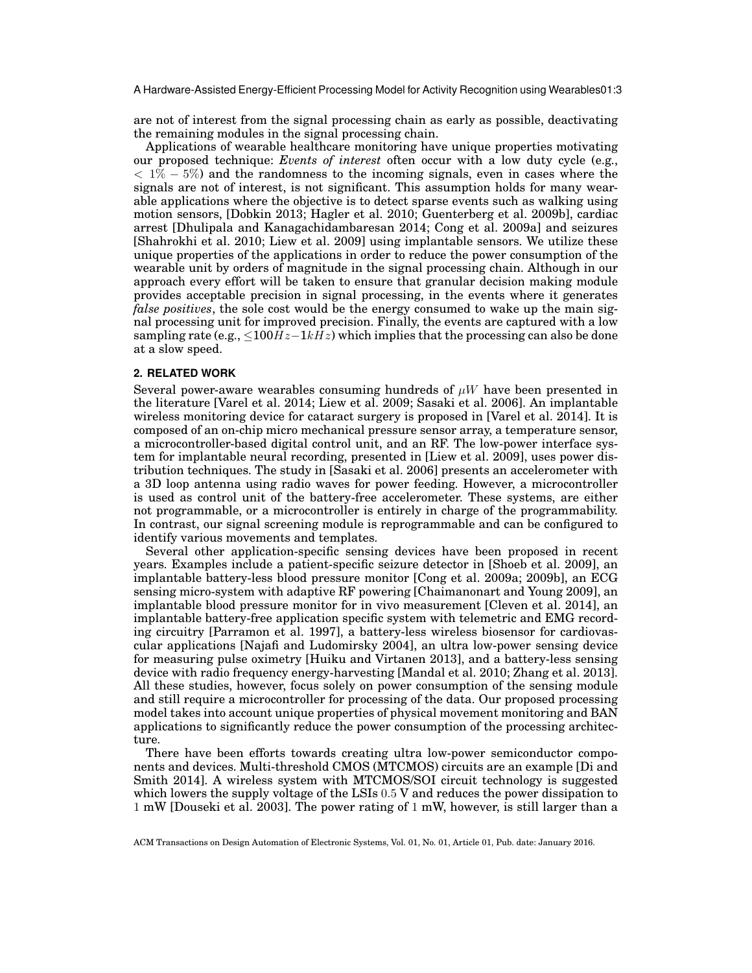are not of interest from the signal processing chain as early as possible, deactivating the remaining modules in the signal processing chain.

Applications of wearable healthcare monitoring have unique properties motivating our proposed technique: *Events of interest* often occur with a low duty cycle (e.g.,  $<$  1%  $-$  5%) and the randomness to the incoming signals, even in cases where the signals are not of interest, is not significant. This assumption holds for many wearable applications where the objective is to detect sparse events such as walking using motion sensors, [Dobkin 2013; Hagler et al. 2010; Guenterberg et al. 2009b], cardiac arrest [Dhulipala and Kanagachidambaresan 2014; Cong et al. 2009a] and seizures [Shahrokhi et al. 2010; Liew et al. 2009] using implantable sensors. We utilize these unique properties of the applications in order to reduce the power consumption of the wearable unit by orders of magnitude in the signal processing chain. Although in our approach every effort will be taken to ensure that granular decision making module provides acceptable precision in signal processing, in the events where it generates *false positives*, the sole cost would be the energy consumed to wake up the main signal processing unit for improved precision. Finally, the events are captured with a low sampling rate (e.g.,  $\leq 100Hz - 1kHz$ ) which implies that the processing can also be done at a slow speed.

# **2. RELATED WORK**

Several power-aware wearables consuming hundreds of  $\mu W$  have been presented in the literature [Varel et al. 2014; Liew et al. 2009; Sasaki et al. 2006]. An implantable wireless monitoring device for cataract surgery is proposed in [Varel et al. 2014]. It is composed of an on-chip micro mechanical pressure sensor array, a temperature sensor, a microcontroller-based digital control unit, and an RF. The low-power interface system for implantable neural recording, presented in [Liew et al. 2009], uses power distribution techniques. The study in [Sasaki et al. 2006] presents an accelerometer with a 3D loop antenna using radio waves for power feeding. However, a microcontroller is used as control unit of the battery-free accelerometer. These systems, are either not programmable, or a microcontroller is entirely in charge of the programmability. In contrast, our signal screening module is reprogrammable and can be configured to identify various movements and templates.

Several other application-specific sensing devices have been proposed in recent years. Examples include a patient-specific seizure detector in [Shoeb et al. 2009], an implantable battery-less blood pressure monitor [Cong et al. 2009a; 2009b], an ECG sensing micro-system with adaptive RF powering [Chaimanonart and Young 2009], an implantable blood pressure monitor for in vivo measurement [Cleven et al. 2014], an implantable battery-free application specific system with telemetric and EMG recording circuitry [Parramon et al. 1997], a battery-less wireless biosensor for cardiovascular applications [Najafi and Ludomirsky 2004], an ultra low-power sensing device for measuring pulse oximetry [Huiku and Virtanen 2013], and a battery-less sensing device with radio frequency energy-harvesting [Mandal et al. 2010; Zhang et al. 2013]. All these studies, however, focus solely on power consumption of the sensing module and still require a microcontroller for processing of the data. Our proposed processing model takes into account unique properties of physical movement monitoring and BAN applications to significantly reduce the power consumption of the processing architecture.

There have been efforts towards creating ultra low-power semiconductor components and devices. Multi-threshold CMOS (MTCMOS) circuits are an example [Di and Smith 2014]. A wireless system with MTCMOS/SOI circuit technology is suggested which lowers the supply voltage of the LSIs 0.5 V and reduces the power dissipation to 1 mW [Douseki et al. 2003]. The power rating of 1 mW, however, is still larger than a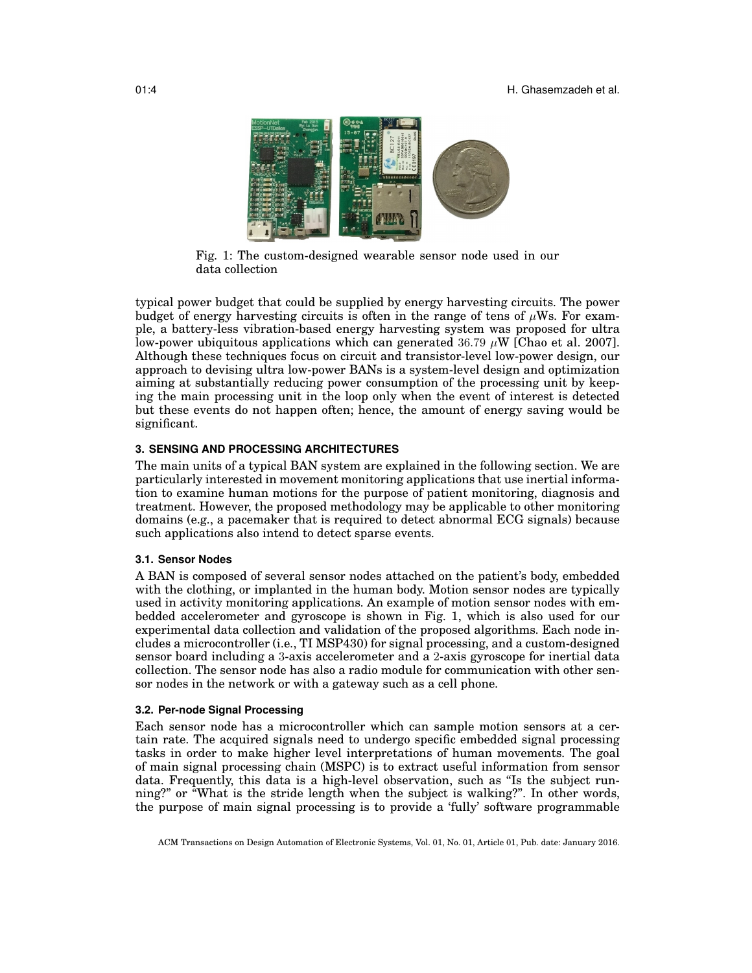

Fig. 1: The custom-designed wearable sensor node used in our data collection

typical power budget that could be supplied by energy harvesting circuits. The power budget of energy harvesting circuits is often in the range of tens of  $\mu$ Ws. For example, a battery-less vibration-based energy harvesting system was proposed for ultra low-power ubiquitous applications which can generated  $36.79 \mu$ W [Chao et al. 2007]. Although these techniques focus on circuit and transistor-level low-power design, our approach to devising ultra low-power BANs is a system-level design and optimization aiming at substantially reducing power consumption of the processing unit by keeping the main processing unit in the loop only when the event of interest is detected but these events do not happen often; hence, the amount of energy saving would be significant.

## **3. SENSING AND PROCESSING ARCHITECTURES**

The main units of a typical BAN system are explained in the following section. We are particularly interested in movement monitoring applications that use inertial information to examine human motions for the purpose of patient monitoring, diagnosis and treatment. However, the proposed methodology may be applicable to other monitoring domains (e.g., a pacemaker that is required to detect abnormal ECG signals) because such applications also intend to detect sparse events.

#### **3.1. Sensor Nodes**

A BAN is composed of several sensor nodes attached on the patient's body, embedded with the clothing, or implanted in the human body. Motion sensor nodes are typically used in activity monitoring applications. An example of motion sensor nodes with embedded accelerometer and gyroscope is shown in Fig. 1, which is also used for our experimental data collection and validation of the proposed algorithms. Each node includes a microcontroller (i.e., TI MSP430) for signal processing, and a custom-designed sensor board including a 3-axis accelerometer and a 2-axis gyroscope for inertial data collection. The sensor node has also a radio module for communication with other sensor nodes in the network or with a gateway such as a cell phone.

#### **3.2. Per-node Signal Processing**

Each sensor node has a microcontroller which can sample motion sensors at a certain rate. The acquired signals need to undergo specific embedded signal processing tasks in order to make higher level interpretations of human movements. The goal of main signal processing chain (MSPC) is to extract useful information from sensor data. Frequently, this data is a high-level observation, such as "Is the subject running?" or "What is the stride length when the subject is walking?". In other words, the purpose of main signal processing is to provide a 'fully' software programmable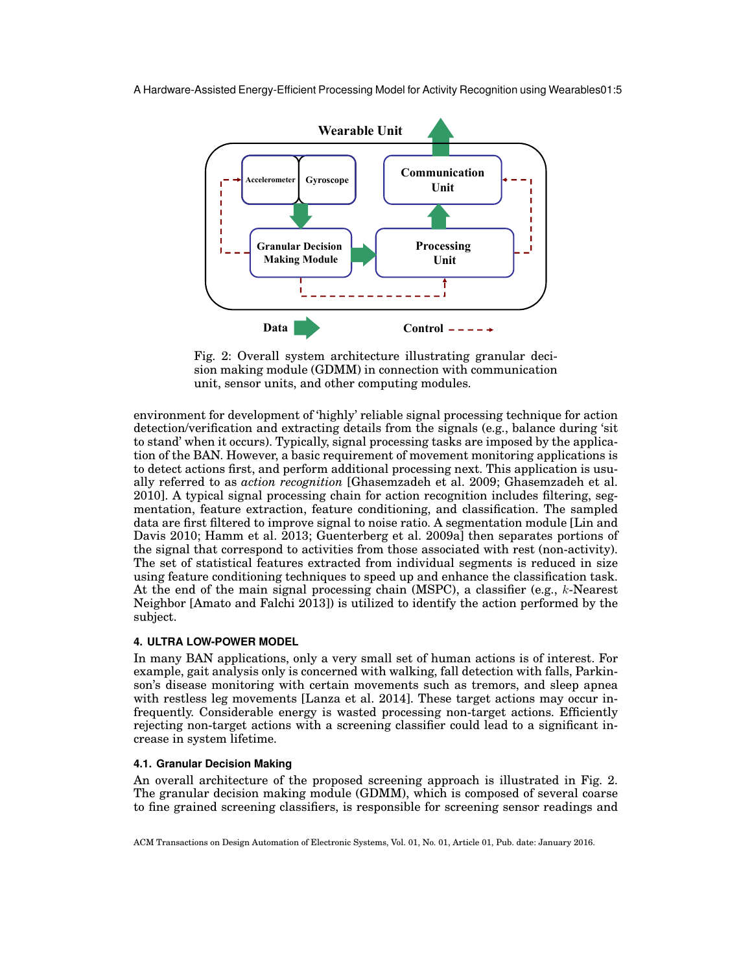



environment for development of 'highly' reliable signal processing technique for action detection/verification and extracting details from the signals (e.g., balance during 'sit to stand' when it occurs). Typically, signal processing tasks are imposed by the application of the BAN. However, a basic requirement of movement monitoring applications is to detect actions first, and perform additional processing next. This application is usually referred to as *action recognition* [Ghasemzadeh et al. 2009; Ghasemzadeh et al. 2010]. A typical signal processing chain for action recognition includes filtering, segmentation, feature extraction, feature conditioning, and classification. The sampled data are first filtered to improve signal to noise ratio. A segmentation module [Lin and Davis 2010; Hamm et al. 2013; Guenterberg et al. 2009a] then separates portions of the signal that correspond to activities from those associated with rest (non-activity). The set of statistical features extracted from individual segments is reduced in size using feature conditioning techniques to speed up and enhance the classification task. At the end of the main signal processing chain (MSPC), a classifier (e.g.,  $k$ -Nearest Neighbor [Amato and Falchi 2013]) is utilized to identify the action performed by the subject.

# **4. ULTRA LOW-POWER MODEL**

In many BAN applications, only a very small set of human actions is of interest. For example, gait analysis only is concerned with walking, fall detection with falls, Parkinson's disease monitoring with certain movements such as tremors, and sleep apnea with restless leg movements [Lanza et al. 2014]. These target actions may occur infrequently. Considerable energy is wasted processing non-target actions. Efficiently rejecting non-target actions with a screening classifier could lead to a significant increase in system lifetime.

# **4.1. Granular Decision Making**

An overall architecture of the proposed screening approach is illustrated in Fig. 2. The granular decision making module (GDMM), which is composed of several coarse to fine grained screening classifiers, is responsible for screening sensor readings and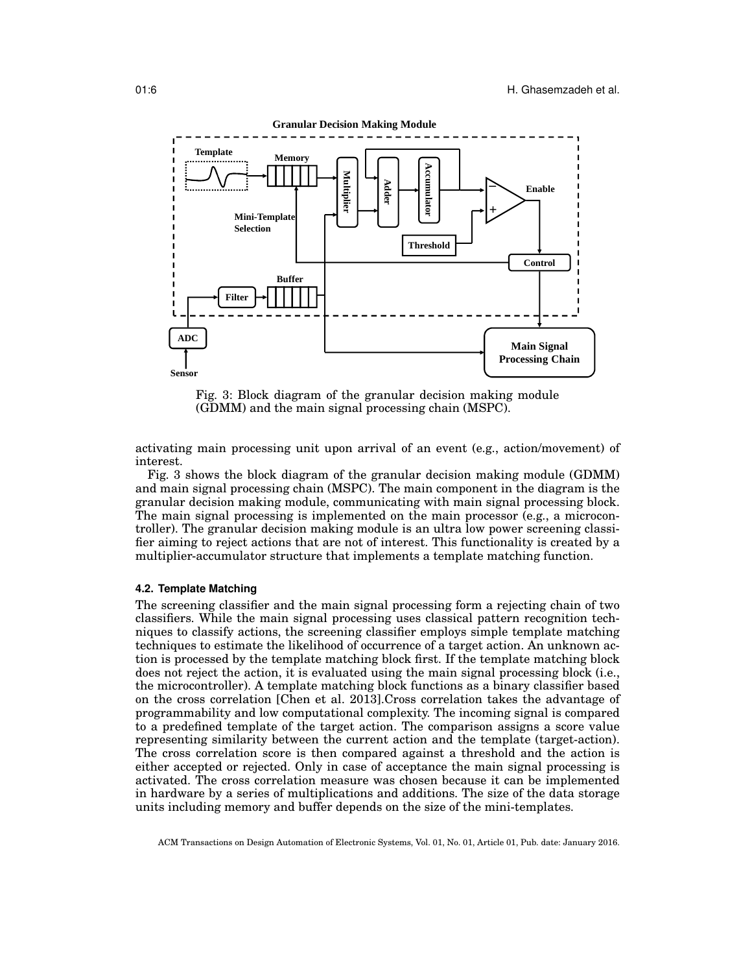

Fig. 3: Block diagram of the granular decision making module (GDMM) and the main signal processing chain (MSPC).

activating main processing unit upon arrival of an event (e.g., action/movement) of interest.

Fig. 3 shows the block diagram of the granular decision making module (GDMM) and main signal processing chain (MSPC). The main component in the diagram is the granular decision making module, communicating with main signal processing block. The main signal processing is implemented on the main processor (e.g., a microcontroller). The granular decision making module is an ultra low power screening classifier aiming to reject actions that are not of interest. This functionality is created by a multiplier-accumulator structure that implements a template matching function.

# **4.2. Template Matching**

The screening classifier and the main signal processing form a rejecting chain of two classifiers. While the main signal processing uses classical pattern recognition techniques to classify actions, the screening classifier employs simple template matching techniques to estimate the likelihood of occurrence of a target action. An unknown action is processed by the template matching block first. If the template matching block does not reject the action, it is evaluated using the main signal processing block (i.e., the microcontroller). A template matching block functions as a binary classifier based on the cross correlation [Chen et al. 2013].Cross correlation takes the advantage of programmability and low computational complexity. The incoming signal is compared to a predefined template of the target action. The comparison assigns a score value representing similarity between the current action and the template (target-action). The cross correlation score is then compared against a threshold and the action is either accepted or rejected. Only in case of acceptance the main signal processing is activated. The cross correlation measure was chosen because it can be implemented in hardware by a series of multiplications and additions. The size of the data storage units including memory and buffer depends on the size of the mini-templates.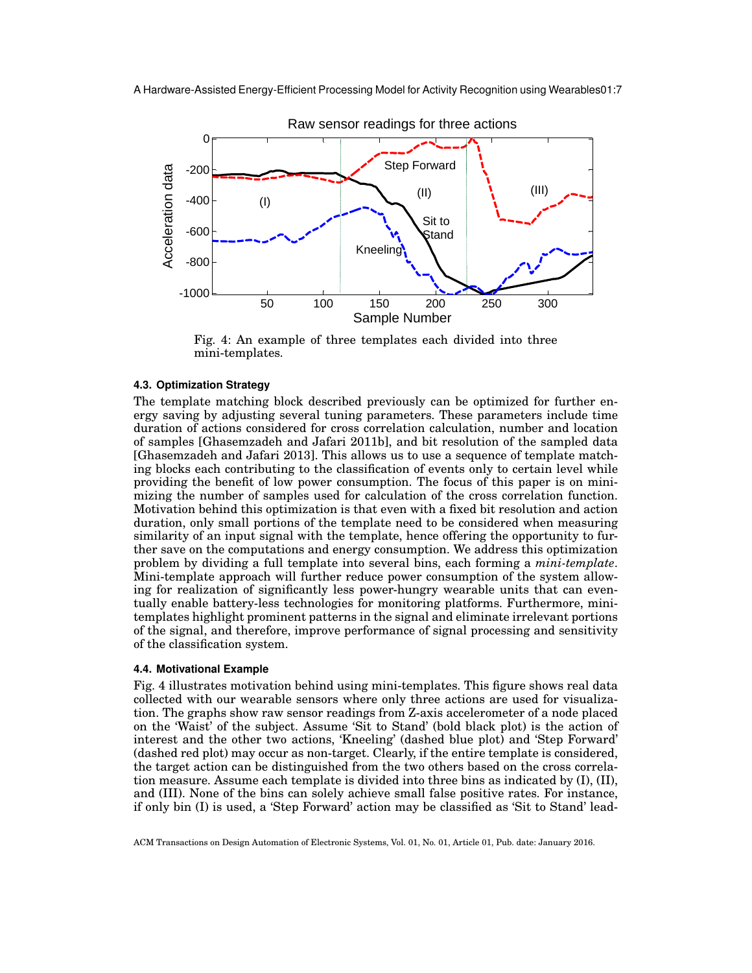

Fig. 4: An example of three templates each divided into three mini-templates.

# **4.3. Optimization Strategy**

The template matching block described previously can be optimized for further energy saving by adjusting several tuning parameters. These parameters include time duration of actions considered for cross correlation calculation, number and location of samples [Ghasemzadeh and Jafari 2011b], and bit resolution of the sampled data [Ghasemzadeh and Jafari 2013]. This allows us to use a sequence of template matching blocks each contributing to the classification of events only to certain level while providing the benefit of low power consumption. The focus of this paper is on minimizing the number of samples used for calculation of the cross correlation function. Motivation behind this optimization is that even with a fixed bit resolution and action duration, only small portions of the template need to be considered when measuring similarity of an input signal with the template, hence offering the opportunity to further save on the computations and energy consumption. We address this optimization problem by dividing a full template into several bins, each forming a *mini-template*. Mini-template approach will further reduce power consumption of the system allowing for realization of significantly less power-hungry wearable units that can eventually enable battery-less technologies for monitoring platforms. Furthermore, minitemplates highlight prominent patterns in the signal and eliminate irrelevant portions of the signal, and therefore, improve performance of signal processing and sensitivity of the classification system.

## **4.4. Motivational Example**

Fig. 4 illustrates motivation behind using mini-templates. This figure shows real data collected with our wearable sensors where only three actions are used for visualization. The graphs show raw sensor readings from Z-axis accelerometer of a node placed on the 'Waist' of the subject. Assume 'Sit to Stand' (bold black plot) is the action of interest and the other two actions, 'Kneeling' (dashed blue plot) and 'Step Forward' (dashed red plot) may occur as non-target. Clearly, if the entire template is considered, the target action can be distinguished from the two others based on the cross correlation measure. Assume each template is divided into three bins as indicated by (I), (II), and (III). None of the bins can solely achieve small false positive rates. For instance, if only bin (I) is used, a 'Step Forward' action may be classified as 'Sit to Stand' lead-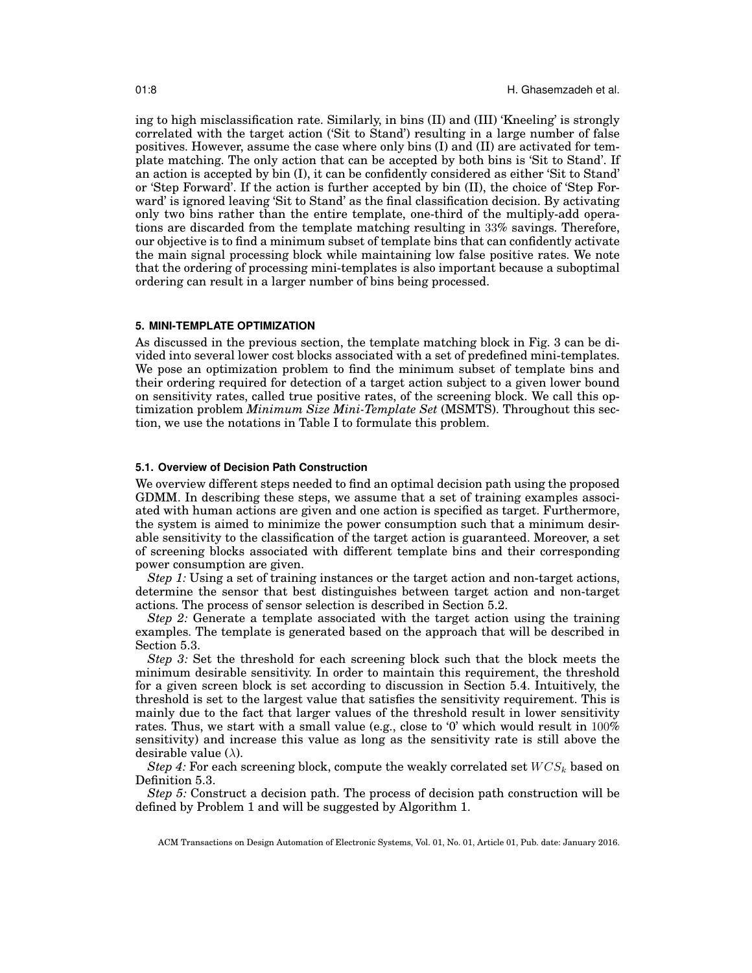ing to high misclassification rate. Similarly, in bins (II) and (III) 'Kneeling' is strongly correlated with the target action ('Sit to Stand') resulting in a large number of false positives. However, assume the case where only bins (I) and (II) are activated for template matching. The only action that can be accepted by both bins is 'Sit to Stand'. If an action is accepted by bin (I), it can be confidently considered as either 'Sit to Stand' or 'Step Forward'. If the action is further accepted by bin (II), the choice of 'Step Forward' is ignored leaving 'Sit to Stand' as the final classification decision. By activating only two bins rather than the entire template, one-third of the multiply-add operations are discarded from the template matching resulting in 33% savings. Therefore, our objective is to find a minimum subset of template bins that can confidently activate the main signal processing block while maintaining low false positive rates. We note that the ordering of processing mini-templates is also important because a suboptimal ordering can result in a larger number of bins being processed.

#### **5. MINI-TEMPLATE OPTIMIZATION**

As discussed in the previous section, the template matching block in Fig. 3 can be divided into several lower cost blocks associated with a set of predefined mini-templates. We pose an optimization problem to find the minimum subset of template bins and their ordering required for detection of a target action subject to a given lower bound on sensitivity rates, called true positive rates, of the screening block. We call this optimization problem *Minimum Size Mini-Template Set* (MSMTS). Throughout this section, we use the notations in Table I to formulate this problem.

## **5.1. Overview of Decision Path Construction**

We overview different steps needed to find an optimal decision path using the proposed GDMM. In describing these steps, we assume that a set of training examples associated with human actions are given and one action is specified as target. Furthermore, the system is aimed to minimize the power consumption such that a minimum desirable sensitivity to the classification of the target action is guaranteed. Moreover, a set of screening blocks associated with different template bins and their corresponding power consumption are given.

*Step 1:* Using a set of training instances or the target action and non-target actions, determine the sensor that best distinguishes between target action and non-target actions. The process of sensor selection is described in Section 5.2.

*Step 2:* Generate a template associated with the target action using the training examples. The template is generated based on the approach that will be described in Section 5.3.

*Step 3:* Set the threshold for each screening block such that the block meets the minimum desirable sensitivity. In order to maintain this requirement, the threshold for a given screen block is set according to discussion in Section 5.4. Intuitively, the threshold is set to the largest value that satisfies the sensitivity requirement. This is mainly due to the fact that larger values of the threshold result in lower sensitivity rates. Thus, we start with a small value (e.g., close to '0' which would result in  $100\%$ sensitivity) and increase this value as long as the sensitivity rate is still above the desirable value  $(\lambda)$ .

*Step 4:* For each screening block, compute the weakly correlated set  $WCS_k$  based on Definition 5.3.

*Step 5:* Construct a decision path. The process of decision path construction will be defined by Problem 1 and will be suggested by Algorithm 1.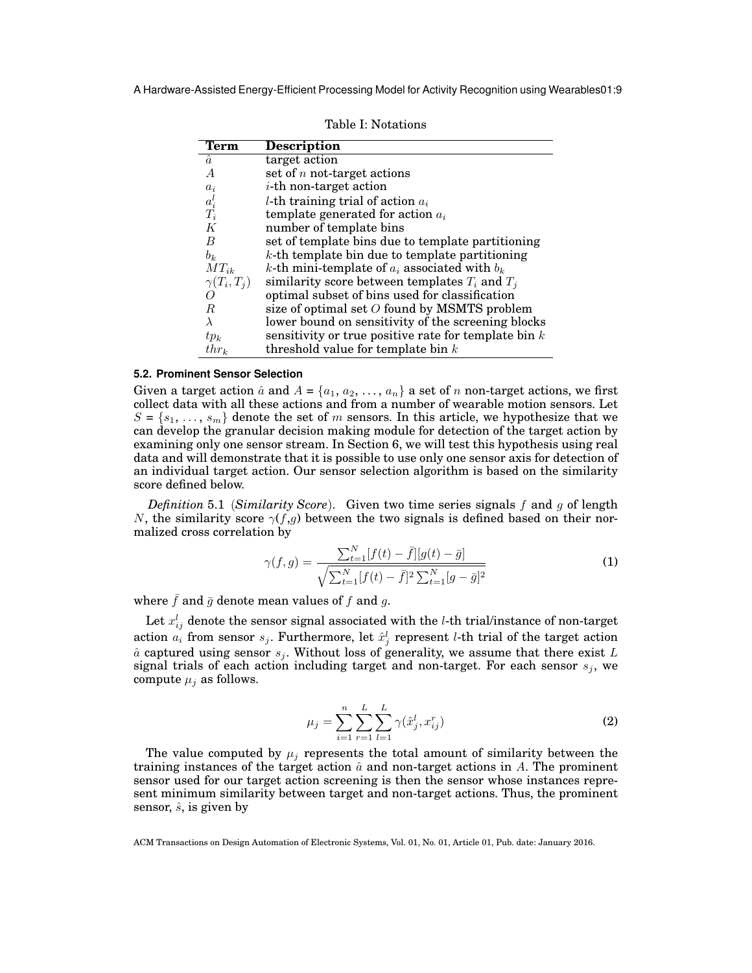| Term                | <b>Description</b>                                     |
|---------------------|--------------------------------------------------------|
| $\hat{a}$           | target action                                          |
| А                   | set of $n$ not-target actions                          |
| $a_i$               | $i$ -th non-target action                              |
| $\frac{a_i^l}{T_i}$ | <i>l</i> -th training trial of action $a_i$            |
|                     | template generated for action $a_i$                    |
| K                   | number of template bins                                |
| B                   | set of template bins due to template partitioning      |
| $b_k$               | $k$ -th template bin due to template partitioning      |
| $MT_{ik}$           | k-th mini-template of $a_i$ associated with $b_k$      |
| $\gamma(T_i,T_j)$   | similarity score between templates $T_i$ and $T_j$     |
| O                   | optimal subset of bins used for classification         |
| R                   | size of optimal set $O$ found by MSMTS problem         |
| $\lambda$           | lower bound on sensitivity of the screening blocks     |
| $tp_k$              | sensitivity or true positive rate for template bin $k$ |
| $thr_k$             | threshold value for template bin $k$                   |

Table I: Notations

#### **5.2. Prominent Sensor Selection**

Given a target action  $\hat{a}$  and  $A = \{a_1, a_2, \ldots, a_n\}$  a set of n non-target actions, we first collect data with all these actions and from a number of wearable motion sensors. Let  $S = \{s_1, \ldots, s_m\}$  denote the set of m sensors. In this article, we hypothesize that we can develop the granular decision making module for detection of the target action by examining only one sensor stream. In Section 6, we will test this hypothesis using real data and will demonstrate that it is possible to use only one sensor axis for detection of an individual target action. Our sensor selection algorithm is based on the similarity score defined below.

*Definition* 5.1 (*Similarity Score*). Given two time series signals f and g of length N, the similarity score  $\gamma(f,g)$  between the two signals is defined based on their normalized cross correlation by

$$
\gamma(f,g) = \frac{\sum_{t=1}^{N} [f(t) - \bar{f}][g(t) - \bar{g}]}{\sqrt{\sum_{t=1}^{N} [f(t) - \bar{f}]^{2} \sum_{t=1}^{N} [g - \bar{g}]^{2}}}
$$
(1)

where  $\bar{f}$  and  $\bar{g}$  denote mean values of f and g.

Let  $x_{ij}^l$  denote the sensor signal associated with the *l*-th trial/instance of non-target action  $a_i$  from sensor  $s_j$ . Furthermore, let  $\hat{x}^l_j$  represent *l*-th trial of the target action  $\hat{a}$  captured using sensor  $s_j$ . Without loss of generality, we assume that there exist L signal trials of each action including target and non-target. For each sensor  $s_j$ , we compute  $\mu_i$  as follows.

$$
\mu_j = \sum_{i=1}^n \sum_{r=1}^L \sum_{l=1}^L \gamma(\hat{x}_j^l, x_{ij}^r)
$$
\n(2)

The value computed by  $\mu_i$  represents the total amount of similarity between the training instances of the target action  $\hat{a}$  and non-target actions in A. The prominent sensor used for our target action screening is then the sensor whose instances represent minimum similarity between target and non-target actions. Thus, the prominent sensor,  $\hat{s}$ , is given by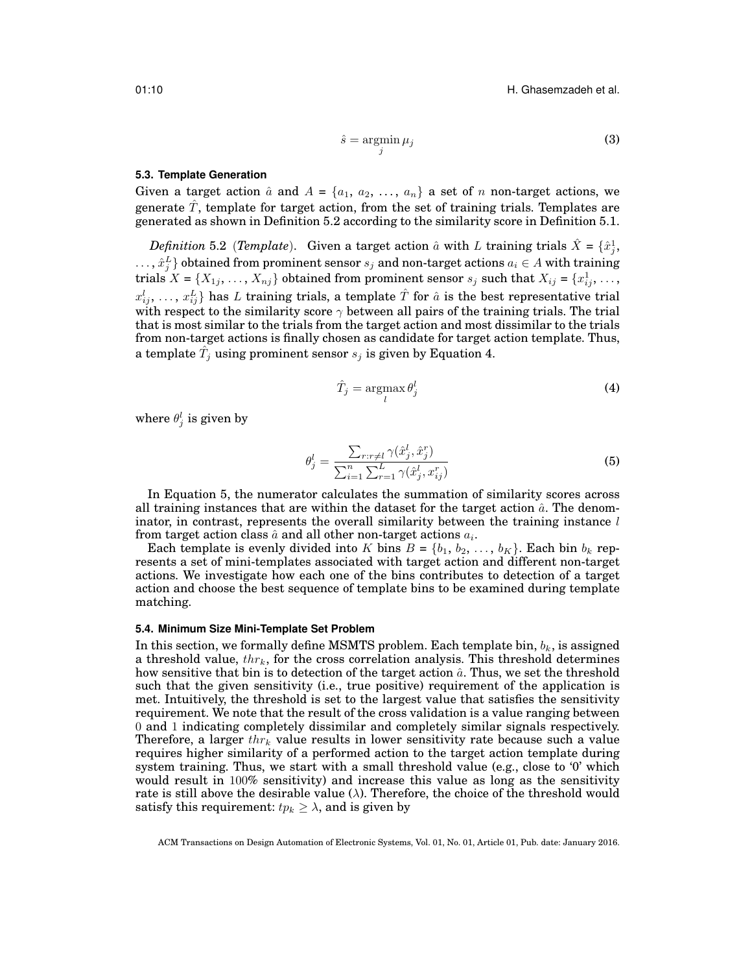$$
\hat{s} = \operatorname*{argmin}_{j} \mu_{j} \tag{3}
$$

#### **5.3. Template Generation**

Given a target action  $\hat{a}$  and  $A = \{a_1, a_2, \ldots, a_n\}$  a set of n non-target actions, we generate  $T$ , template for target action, from the set of training trials. Templates are generated as shown in Definition 5.2 according to the similarity score in Definition 5.1.

*Definition* 5.2 (*Template*). Given a target action  $\hat{a}$  with L training trials  $\hat{X} = \{\hat{x}_j^1, \hat{y}_j^2\}$  $\ldots, \hat x_j^L\}$  obtained from prominent sensor  $s_j$  and non-target actions  $a_i \in A$  with training trials  $X = \{X_{1j}, \ldots, X_{nj}\}\$  obtained from prominent sensor  $s_j$  such that  $X_{ij} = \{x_{ij}^1, \ldots, x_{nj}\}$  $\{x_{ij}^l, \ldots, x_{ij}^L\}$  has L training trials, a template  $\hat{T}$  for  $\hat{a}$  is the best representative trial with respect to the similarity score  $\gamma$  between all pairs of the training trials. The trial that is most similar to the trials from the target action and most dissimilar to the trials from non-target actions is finally chosen as candidate for target action template. Thus, a template  $\hat{T}_j$  using prominent sensor  $s_j$  is given by Equation 4.

$$
\hat{T}_j = \underset{l}{\operatorname{argmax}} \,\theta_j^l \tag{4}
$$

where  $\theta^l_j$  is given by

$$
\theta_j^l = \frac{\sum_{r:r \neq l} \gamma(\hat{x}_j^l, \hat{x}_j^r)}{\sum_{i=1}^n \sum_{r=1}^L \gamma(\hat{x}_j^l, x_{ij}^r)}
$$
(5)

In Equation 5, the numerator calculates the summation of similarity scores across all training instances that are within the dataset for the target action  $\hat{a}$ . The denominator, in contrast, represents the overall similarity between the training instance  $l$ from target action class  $\hat{a}$  and all other non-target actions  $a_i.$ 

Each template is evenly divided into K bins  $B = \{b_1, b_2, \ldots, b_K\}$ . Each bin  $b_k$  represents a set of mini-templates associated with target action and different non-target actions. We investigate how each one of the bins contributes to detection of a target action and choose the best sequence of template bins to be examined during template matching.

#### **5.4. Minimum Size Mini-Template Set Problem**

In this section, we formally define MSMTS problem. Each template bin,  $b_k$ , is assigned a threshold value,  $thr_k$ , for the cross correlation analysis. This threshold determines how sensitive that bin is to detection of the target action  $\hat{a}$ . Thus, we set the threshold such that the given sensitivity (i.e., true positive) requirement of the application is met. Intuitively, the threshold is set to the largest value that satisfies the sensitivity requirement. We note that the result of the cross validation is a value ranging between 0 and 1 indicating completely dissimilar and completely similar signals respectively. Therefore, a larger  $thr_k$  value results in lower sensitivity rate because such a value requires higher similarity of a performed action to the target action template during system training. Thus, we start with a small threshold value (e.g., close to '0' which would result in 100% sensitivity) and increase this value as long as the sensitivity rate is still above the desirable value  $(\lambda)$ . Therefore, the choice of the threshold would satisfy this requirement:  $tp_k \geq \lambda$ , and is given by

ACM Transactions on Design Automation of Electronic Systems, Vol. 01, No. 01, Article 01, Pub. date: January 2016.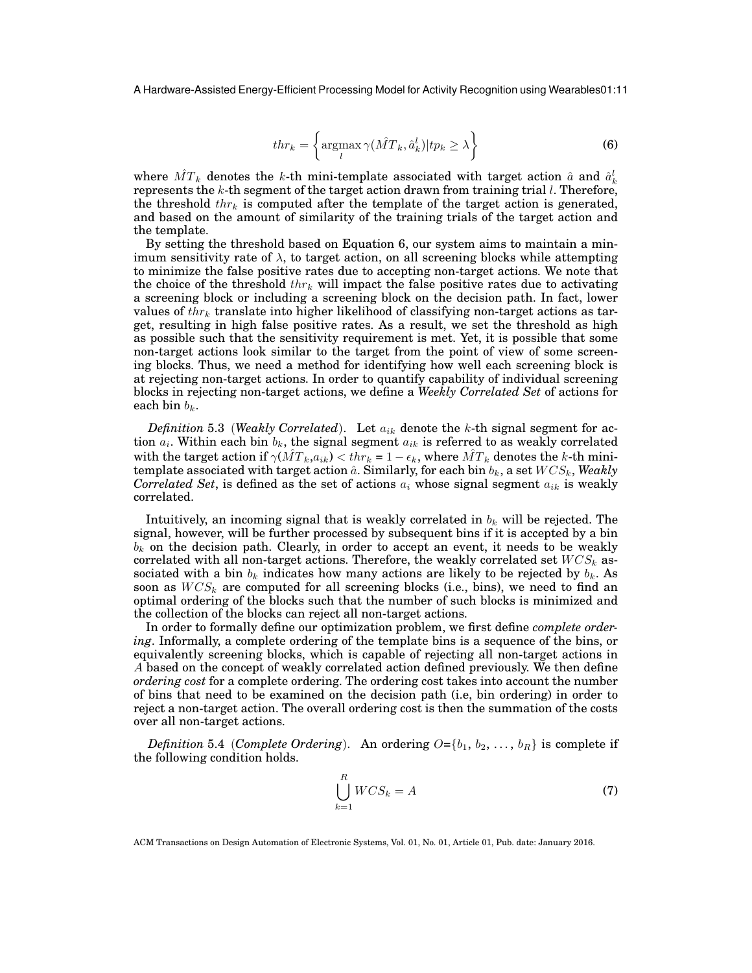$$
thr_k = \left\{ \underset{l}{\text{argmax}} \gamma(\hat{MT}_k, \hat{a}_k^l) | tp_k \ge \lambda \right\} \tag{6}
$$

where  $\hat{MT}_k$  denotes the k-th mini-template associated with target action  $\hat{a}$  and  $\hat{a}_k^l$ represents the k-th segment of the target action drawn from training trial  $l$ . Therefore, the threshold  $thr_k$  is computed after the template of the target action is generated, and based on the amount of similarity of the training trials of the target action and the template.

By setting the threshold based on Equation 6, our system aims to maintain a minimum sensitivity rate of  $\lambda$ , to target action, on all screening blocks while attempting to minimize the false positive rates due to accepting non-target actions. We note that the choice of the threshold  $thr_k$  will impact the false positive rates due to activating a screening block or including a screening block on the decision path. In fact, lower values of  $thr_k$  translate into higher likelihood of classifying non-target actions as target, resulting in high false positive rates. As a result, we set the threshold as high as possible such that the sensitivity requirement is met. Yet, it is possible that some non-target actions look similar to the target from the point of view of some screening blocks. Thus, we need a method for identifying how well each screening block is at rejecting non-target actions. In order to quantify capability of individual screening blocks in rejecting non-target actions, we define a *Weekly Correlated Set* of actions for each bin  $b_k$ .

*Definition* 5.3 (*Weakly Correlated*). Let  $a_{ik}$  denote the k-th signal segment for action  $a_i$ . Within each bin  $b_k$ , the signal segment  $a_{ik}$  is referred to as weakly correlated with the target action if  $\gamma(\hat{MT}_k, a_{ik}) < thr_k = 1-\epsilon_k,$  where  $\hat{MT}_k$  denotes the  $k$ -th minitemplate associated with target action  $\hat{a}$ . Similarly, for each bin  $b_k$ , a set  $WCS_k$ , *Weakly Correlated Set*, is defined as the set of actions  $a_i$  whose signal segment  $a_{ik}$  is weakly correlated.

Intuitively, an incoming signal that is weakly correlated in  $b_k$  will be rejected. The signal, however, will be further processed by subsequent bins if it is accepted by a bin  $b_k$  on the decision path. Clearly, in order to accept an event, it needs to be weakly correlated with all non-target actions. Therefore, the weakly correlated set  $WCS_k$  associated with a bin  $b_k$  indicates how many actions are likely to be rejected by  $b_k$ . As soon as  $WCS_k$  are computed for all screening blocks (i.e., bins), we need to find an optimal ordering of the blocks such that the number of such blocks is minimized and the collection of the blocks can reject all non-target actions.

In order to formally define our optimization problem, we first define *complete ordering*. Informally, a complete ordering of the template bins is a sequence of the bins, or equivalently screening blocks, which is capable of rejecting all non-target actions in A based on the concept of weakly correlated action defined previously. We then define *ordering cost* for a complete ordering. The ordering cost takes into account the number of bins that need to be examined on the decision path (i.e, bin ordering) in order to reject a non-target action. The overall ordering cost is then the summation of the costs over all non-target actions.

*Definition* 5.4 (*Complete Ordering*). An ordering  $O = \{b_1, b_2, \ldots, b_R\}$  is complete if the following condition holds.

$$
\bigcup_{k=1}^{R} WCS_k = A \tag{7}
$$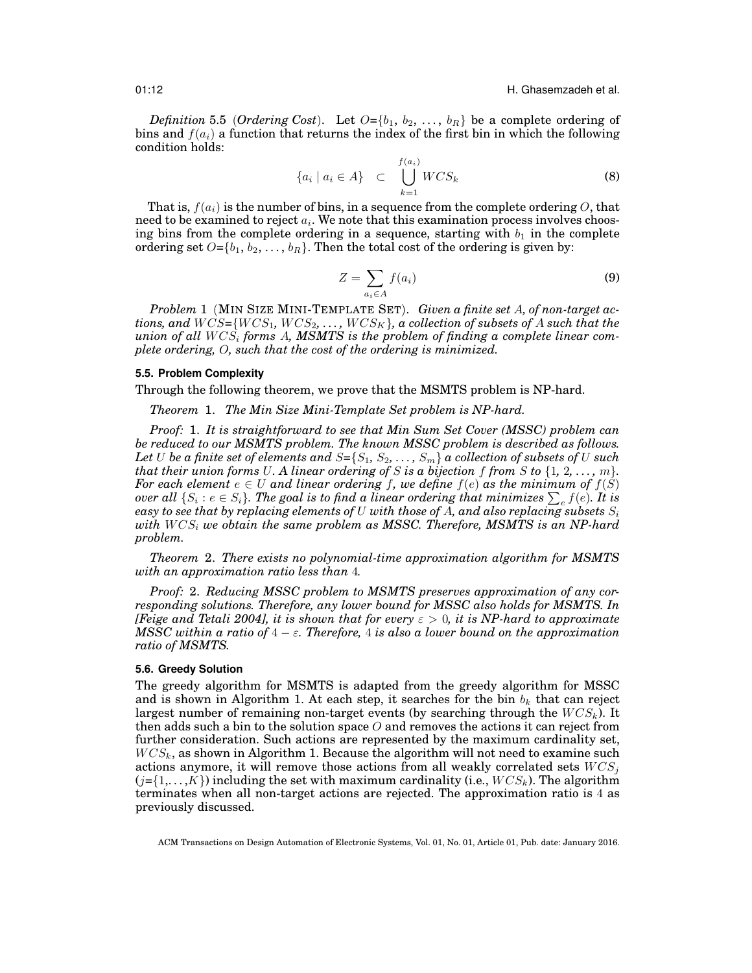*Definition* 5.5 (*Ordering Cost*). Let  $O = \{b_1, b_2, \ldots, b_R\}$  be a complete ordering of bins and  $f(a_i)$  a function that returns the index of the first bin in which the following condition holds:

$$
\{a_i \mid a_i \in A\} \quad \subset \quad \bigcup_{k=1}^{f(a_i)} WCS_k \tag{8}
$$

That is,  $f(a_i)$  is the number of bins, in a sequence from the complete ordering O, that need to be examined to reject  $a_i.$  We note that this examination process involves choosing bins from the complete ordering in a sequence, starting with  $b_1$  in the complete ordering set  $O = \{b_1, b_2, \ldots, b_R\}$ . Then the total cost of the ordering is given by:

$$
Z = \sum_{a_i \in A} f(a_i) \tag{9}
$$

*Problem* 1 (MIN SIZE MINI-TEMPLATE SET). *Given a finite set* A*, of non-target ac* $tions,$  and  $WCS \text{=}\{WCS_1, \, WCS_2, \, \dots, \, WCS_K\},$  a collection of subsets of  $A$  such that the  $u$ nion of all  $WCS_i$  forms  $A$ ,  $\boldsymbol{MSMTS}$  is the problem of finding  $\boldsymbol{a}$  complete linear com*plete ordering,* O*, such that the cost of the ordering is minimized.*

# **5.5. Problem Complexity**

Through the following theorem, we prove that the MSMTS problem is NP-hard.

*Theorem* 1. *The Min Size Mini-Template Set problem is NP-hard.*

*Proof:* 1. *It is straightforward to see that Min Sum Set Cover (MSSC) problem can be reduced to our MSMTS problem. The known MSSC problem is described as follows.* Let  $U$  be a finite set of elements and  $S$ = $\{S_1,\,S_2,\,\ldots,\,S_m\}$  a collection of subsets of  $U$  such *that their union forms* U. A linear ordering of S is a bijection f from S to  $\{1, 2, \ldots, m\}$ . *For each element*  $e \in U$  *and linear ordering* f, we define  $f(e)$  *as the minimum of*  $f(S)$  $a$  *over all*  $\{S_i : e \in S_i\}$ *. The goal is to find a linear ordering that minimizes*  $\sum_e f(e)$ *. It is easy to see that by replacing elements of* U *with those of* A*, and also replacing subsets* S<sup>i</sup> *with* W CS<sup>i</sup> *we obtain the same problem as MSSC. Therefore, MSMTS is an NP-hard problem.*

*Theorem* 2. *There exists no polynomial-time approximation algorithm for MSMTS with an approximation ratio less than* 4*.*

*Proof:* 2. *Reducing MSSC problem to MSMTS preserves approximation of any corresponding solutions. Therefore, any lower bound for MSSC also holds for MSMTS. In [Feige and Tetali 2004], it is shown that for every* ε > 0*, it is NP-hard to approximate MSSC within a ratio of* 4 − ε*. Therefore,* 4 *is also a lower bound on the approximation ratio of MSMTS.*

## **5.6. Greedy Solution**

The greedy algorithm for MSMTS is adapted from the greedy algorithm for MSSC and is shown in Algorithm 1. At each step, it searches for the bin  $b_k$  that can reject largest number of remaining non-target events (by searching through the  $WCS_k$ ). It then adds such a bin to the solution space  $O$  and removes the actions it can reject from further consideration. Such actions are represented by the maximum cardinality set,  $WCS_k$ , as shown in Algorithm 1. Because the algorithm will not need to examine such actions anymore, it will remove those actions from all weakly correlated sets  $WCS<sub>i</sub>$  $(j=\{1,\ldots,K\})$  including the set with maximum cardinality (i.e.,  $WCS_k$ ). The algorithm terminates when all non-target actions are rejected. The approximation ratio is 4 as previously discussed.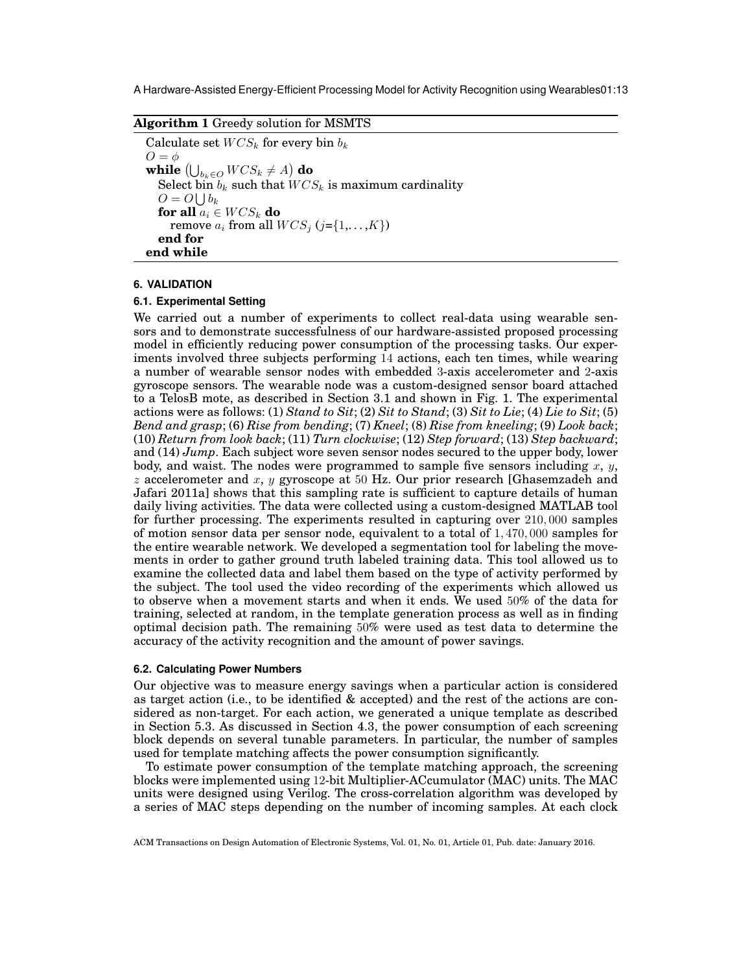# **Algorithm 1** Greedy solution for MSMTS

Calculate set  $WCS_k$  for every bin  $b_k$  $O = \phi$  $\textbf{while} \left( \bigcup_{b_k \in O} WCS_k \neq A \right) \textbf{do}$ Select bin  $b_k$  such that  $WCS_k$  is maximum cardinality  $O = O \bigcup b_k$ **for all**  $a_i \in WCS_k$  **do** remove  $a_i$  from all  $WCS_j$  (j={1,...,K}) **end for end while**

# **6. VALIDATION**

#### **6.1. Experimental Setting**

We carried out a number of experiments to collect real-data using wearable sensors and to demonstrate successfulness of our hardware-assisted proposed processing model in efficiently reducing power consumption of the processing tasks. Our experiments involved three subjects performing 14 actions, each ten times, while wearing a number of wearable sensor nodes with embedded 3-axis accelerometer and 2-axis gyroscope sensors. The wearable node was a custom-designed sensor board attached to a TelosB mote, as described in Section 3.1 and shown in Fig. 1. The experimental actions were as follows: (1) *Stand to Sit*; (2) *Sit to Stand*; (3) *Sit to Lie*; (4) *Lie to Sit*; (5) *Bend and grasp*; (6) *Rise from bending*; (7) *Kneel*; (8) *Rise from kneeling*; (9) *Look back*; (10) *Return from look back*; (11) *Turn clockwise*; (12) *Step forward*; (13) *Step backward*; and (14) *Jump*. Each subject wore seven sensor nodes secured to the upper body, lower body, and waist. The nodes were programmed to sample five sensors including  $x$ ,  $y$ , z accelerometer and x, y gyroscope at 50 Hz. Our prior research [Ghasemzadeh and Jafari 2011a] shows that this sampling rate is sufficient to capture details of human daily living activities. The data were collected using a custom-designed MATLAB tool for further processing. The experiments resulted in capturing over 210, 000 samples of motion sensor data per sensor node, equivalent to a total of 1, 470, 000 samples for the entire wearable network. We developed a segmentation tool for labeling the movements in order to gather ground truth labeled training data. This tool allowed us to examine the collected data and label them based on the type of activity performed by the subject. The tool used the video recording of the experiments which allowed us to observe when a movement starts and when it ends. We used 50% of the data for training, selected at random, in the template generation process as well as in finding optimal decision path. The remaining 50% were used as test data to determine the accuracy of the activity recognition and the amount of power savings.

#### **6.2. Calculating Power Numbers**

Our objective was to measure energy savings when a particular action is considered as target action (i.e., to be identified & accepted) and the rest of the actions are considered as non-target. For each action, we generated a unique template as described in Section 5.3. As discussed in Section 4.3, the power consumption of each screening block depends on several tunable parameters. In particular, the number of samples used for template matching affects the power consumption significantly.

To estimate power consumption of the template matching approach, the screening blocks were implemented using 12-bit Multiplier-ACcumulator (MAC) units. The MAC units were designed using Verilog. The cross-correlation algorithm was developed by a series of MAC steps depending on the number of incoming samples. At each clock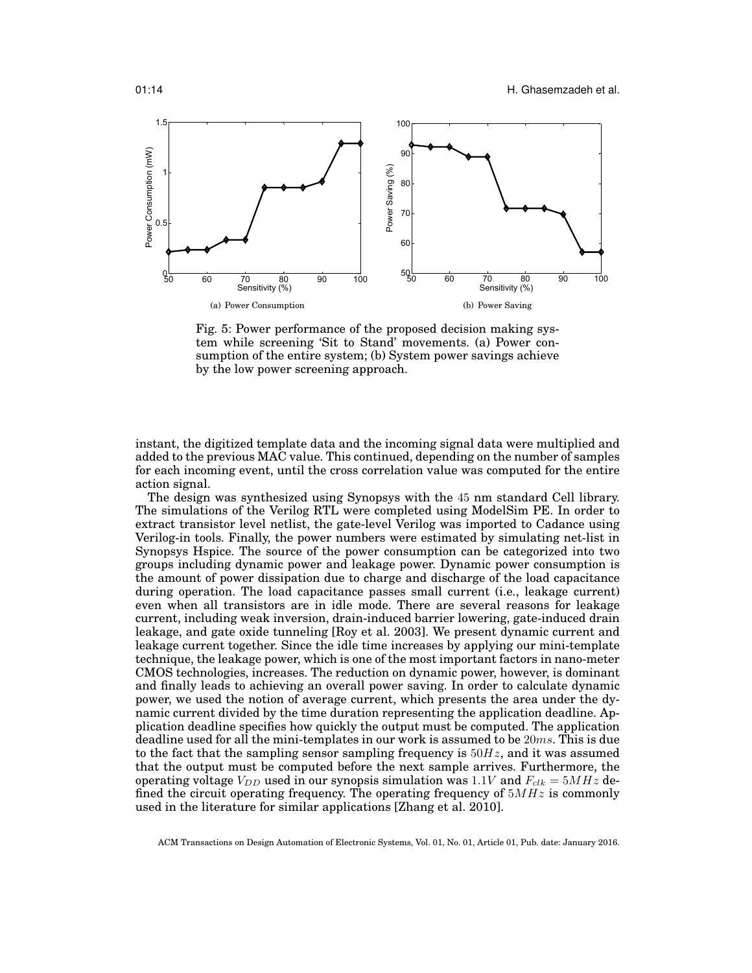

Fig. 5: Power performance of the proposed decision making system while screening 'Sit to Stand' movements. (a) Power consumption of the entire system; (b) System power savings achieve by the low power screening approach.

instant, the digitized template data and the incoming signal data were multiplied and added to the previous MAC value. This continued, depending on the number of samples for each incoming event, until the cross correlation value was computed for the entire action signal.

The design was synthesized using Synopsys with the 45 nm standard Cell library. The simulations of the Verilog RTL were completed using ModelSim PE. In order to extract transistor level netlist, the gate-level Verilog was imported to Cadance using Verilog-in tools. Finally, the power numbers were estimated by simulating net-list in Synopsys Hspice. The source of the power consumption can be categorized into two groups including dynamic power and leakage power. Dynamic power consumption is the amount of power dissipation due to charge and discharge of the load capacitance during operation. The load capacitance passes small current (i.e., leakage current) even when all transistors are in idle mode. There are several reasons for leakage current, including weak inversion, drain-induced barrier lowering, gate-induced drain leakage, and gate oxide tunneling [Roy et al. 2003]. We present dynamic current and leakage current together. Since the idle time increases by applying our mini-template technique, the leakage power, which is one of the most important factors in nano-meter CMOS technologies, increases. The reduction on dynamic power, however, is dominant and finally leads to achieving an overall power saving. In order to calculate dynamic power, we used the notion of average current, which presents the area under the dynamic current divided by the time duration representing the application deadline. Application deadline specifies how quickly the output must be computed. The application deadline used for all the mini-templates in our work is assumed to be  $20ms$ . This is due to the fact that the sampling sensor sampling frequency is  $50Hz$ , and it was assumed that the output must be computed before the next sample arrives. Furthermore, the operating voltage  $V_{DD}$  used in our synopsis simulation was 1.1V and  $F_{clk} = 5MHz$  defined the circuit operating frequency. The operating frequency of  $5MHz$  is commonly used in the literature for similar applications [Zhang et al. 2010].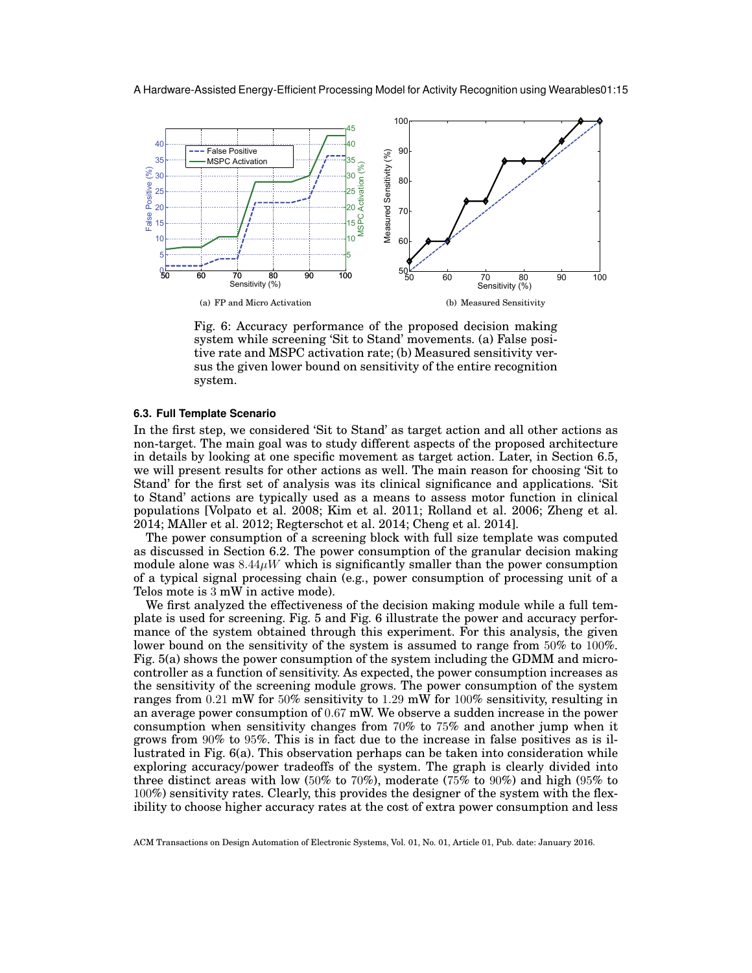

Fig. 6: Accuracy performance of the proposed decision making system while screening 'Sit to Stand' movements. (a) False positive rate and MSPC activation rate; (b) Measured sensitivity versus the given lower bound on sensitivity of the entire recognition system.

#### **6.3. Full Template Scenario**

In the first step, we considered 'Sit to Stand' as target action and all other actions as non-target. The main goal was to study different aspects of the proposed architecture in details by looking at one specific movement as target action. Later, in Section 6.5, we will present results for other actions as well. The main reason for choosing 'Sit to Stand' for the first set of analysis was its clinical significance and applications. 'Sit to Stand' actions are typically used as a means to assess motor function in clinical populations [Volpato et al. 2008; Kim et al. 2011; Rolland et al. 2006; Zheng et al. 2014; MAller et al. 2012; Regterschot et al. 2014; Cheng et al. 2014].

The power consumption of a screening block with full size template was computed as discussed in Section 6.2. The power consumption of the granular decision making module alone was  $8.44\mu W$  which is significantly smaller than the power consumption of a typical signal processing chain (e.g., power consumption of processing unit of a Telos mote is 3 mW in active mode).

We first analyzed the effectiveness of the decision making module while a full template is used for screening. Fig. 5 and Fig. 6 illustrate the power and accuracy performance of the system obtained through this experiment. For this analysis, the given lower bound on the sensitivity of the system is assumed to range from 50% to 100%. Fig. 5(a) shows the power consumption of the system including the GDMM and microcontroller as a function of sensitivity. As expected, the power consumption increases as the sensitivity of the screening module grows. The power consumption of the system ranges from 0.21 mW for 50% sensitivity to 1.29 mW for 100% sensitivity, resulting in an average power consumption of 0.67 mW. We observe a sudden increase in the power consumption when sensitivity changes from 70% to 75% and another jump when it grows from 90% to 95%. This is in fact due to the increase in false positives as is illustrated in Fig. 6(a). This observation perhaps can be taken into consideration while exploring accuracy/power tradeoffs of the system. The graph is clearly divided into three distinct areas with low (50% to 70%), moderate (75% to 90%) and high (95% to 100%) sensitivity rates. Clearly, this provides the designer of the system with the flexibility to choose higher accuracy rates at the cost of extra power consumption and less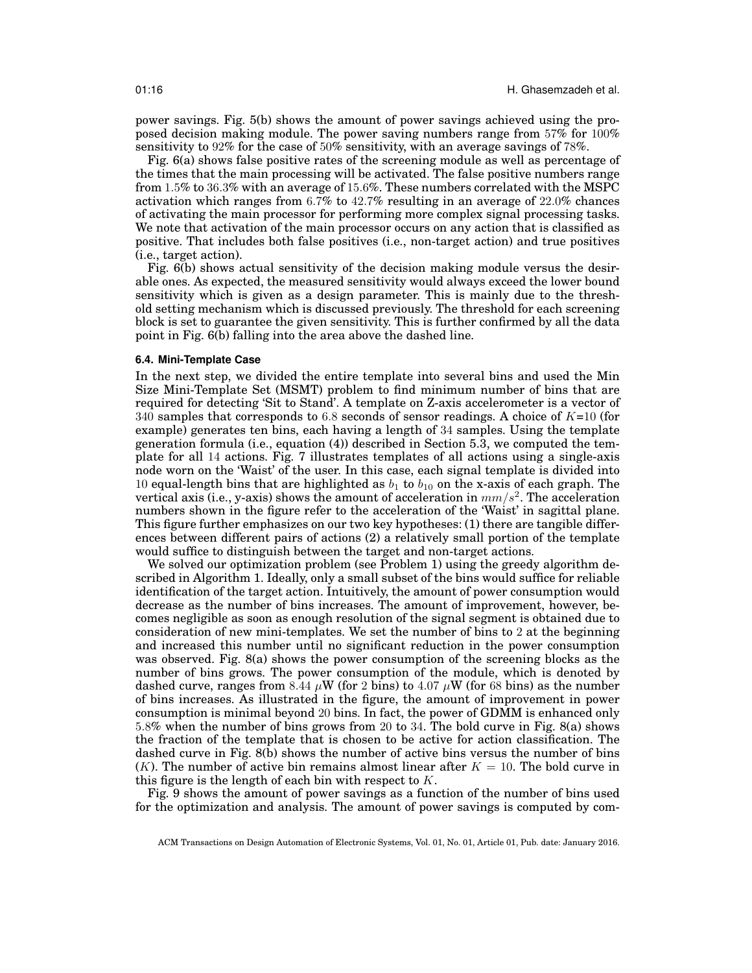power savings. Fig. 5(b) shows the amount of power savings achieved using the proposed decision making module. The power saving numbers range from 57% for 100% sensitivity to 92% for the case of 50% sensitivity, with an average savings of 78%.

Fig. 6(a) shows false positive rates of the screening module as well as percentage of the times that the main processing will be activated. The false positive numbers range from 1.5% to 36.3% with an average of 15.6%. These numbers correlated with the MSPC activation which ranges from 6.7% to 42.7% resulting in an average of 22.0% chances of activating the main processor for performing more complex signal processing tasks. We note that activation of the main processor occurs on any action that is classified as positive. That includes both false positives (i.e., non-target action) and true positives (i.e., target action).

Fig. 6(b) shows actual sensitivity of the decision making module versus the desirable ones. As expected, the measured sensitivity would always exceed the lower bound sensitivity which is given as a design parameter. This is mainly due to the threshold setting mechanism which is discussed previously. The threshold for each screening block is set to guarantee the given sensitivity. This is further confirmed by all the data point in Fig. 6(b) falling into the area above the dashed line.

#### **6.4. Mini-Template Case**

In the next step, we divided the entire template into several bins and used the Min Size Mini-Template Set (MSMT) problem to find minimum number of bins that are required for detecting 'Sit to Stand'. A template on Z-axis accelerometer is a vector of  $340$  samples that corresponds to  $6.8$  seconds of sensor readings. A choice of  $K=10$  (for example) generates ten bins, each having a length of 34 samples. Using the template generation formula (i.e., equation (4)) described in Section 5.3, we computed the template for all 14 actions. Fig. 7 illustrates templates of all actions using a single-axis node worn on the 'Waist' of the user. In this case, each signal template is divided into 10 equal-length bins that are highlighted as  $b_1$  to  $b_{10}$  on the x-axis of each graph. The vertical axis (i.e., y-axis) shows the amount of acceleration in  $mm/s^2$ . The acceleration numbers shown in the figure refer to the acceleration of the 'Waist' in sagittal plane. This figure further emphasizes on our two key hypotheses: (1) there are tangible differences between different pairs of actions (2) a relatively small portion of the template would suffice to distinguish between the target and non-target actions.

We solved our optimization problem (see Problem 1) using the greedy algorithm described in Algorithm 1. Ideally, only a small subset of the bins would suffice for reliable identification of the target action. Intuitively, the amount of power consumption would decrease as the number of bins increases. The amount of improvement, however, becomes negligible as soon as enough resolution of the signal segment is obtained due to consideration of new mini-templates. We set the number of bins to 2 at the beginning and increased this number until no significant reduction in the power consumption was observed. Fig. 8(a) shows the power consumption of the screening blocks as the number of bins grows. The power consumption of the module, which is denoted by dashed curve, ranges from 8.44  $\mu$ W (for 2 bins) to 4.07  $\mu$ W (for 68 bins) as the number of bins increases. As illustrated in the figure, the amount of improvement in power consumption is minimal beyond 20 bins. In fact, the power of GDMM is enhanced only 5.8% when the number of bins grows from 20 to 34. The bold curve in Fig. 8(a) shows the fraction of the template that is chosen to be active for action classification. The dashed curve in Fig. 8(b) shows the number of active bins versus the number of bins  $(K)$ . The number of active bin remains almost linear after  $K = 10$ . The bold curve in this figure is the length of each bin with respect to  $K$ .

Fig. 9 shows the amount of power savings as a function of the number of bins used for the optimization and analysis. The amount of power savings is computed by com-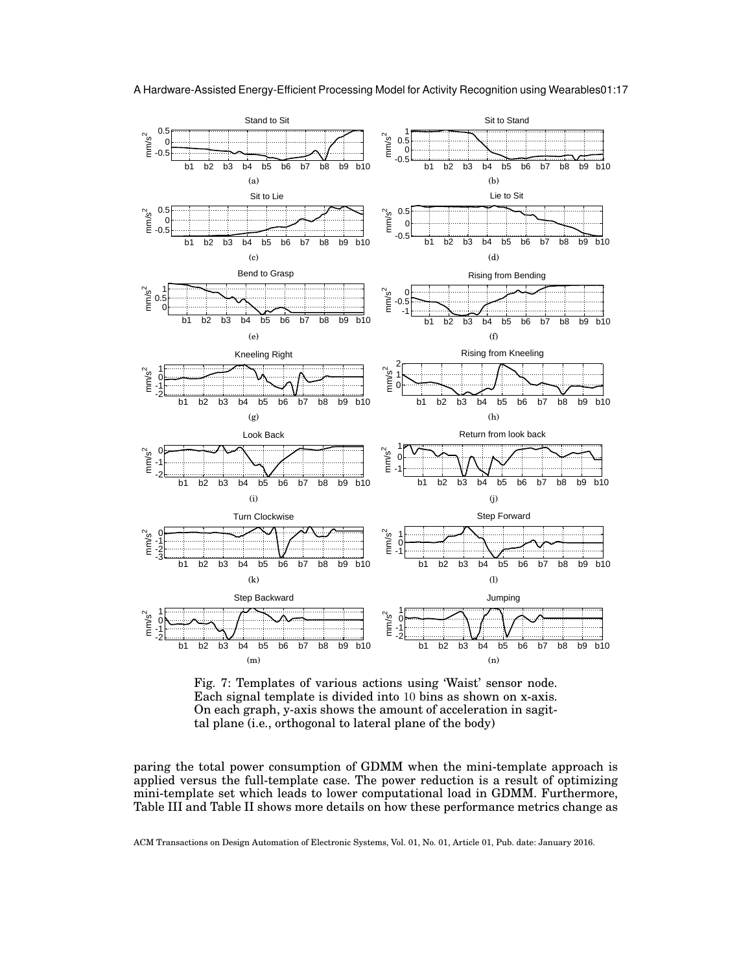

Fig. 7: Templates of various actions using 'Waist' sensor node. Each signal template is divided into 10 bins as shown on x-axis. On each graph, y-axis shows the amount of acceleration in sagittal plane (i.e., orthogonal to lateral plane of the body)

paring the total power consumption of GDMM when the mini-template approach is applied versus the full-template case. The power reduction is a result of optimizing mini-template set which leads to lower computational load in GDMM. Furthermore, Table III and Table II shows more details on how these performance metrics change as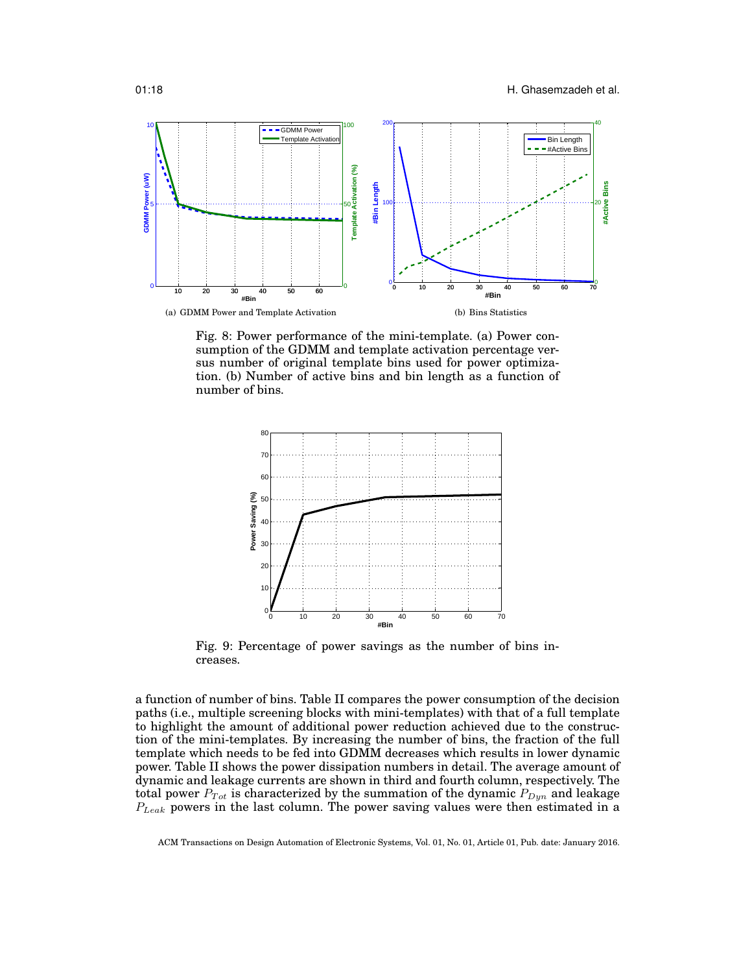

Fig. 8: Power performance of the mini-template. (a) Power consumption of the GDMM and template activation percentage versus number of original template bins used for power optimization. (b) Number of active bins and bin length as a function of number of bins.



Fig. 9: Percentage of power savings as the number of bins increases.

a function of number of bins. Table II compares the power consumption of the decision paths (i.e., multiple screening blocks with mini-templates) with that of a full template to highlight the amount of additional power reduction achieved due to the construction of the mini-templates. By increasing the number of bins, the fraction of the full template which needs to be fed into GDMM decreases which results in lower dynamic power. Table II shows the power dissipation numbers in detail. The average amount of dynamic and leakage currents are shown in third and fourth column, respectively. The total power  $P_{Tot}$  is characterized by the summation of the dynamic  $P_{Dyn}$  and leakage  $P_{Leak}$  powers in the last column. The power saving values were then estimated in a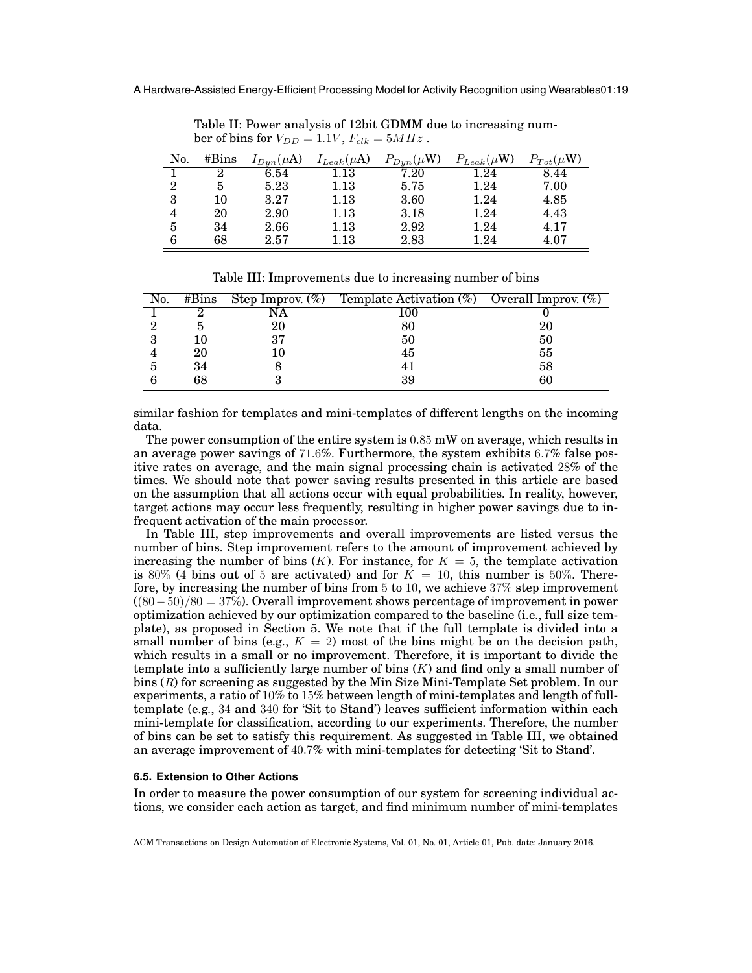| No.            | #Bins | $I_{Dyn}(\mu A)$ | $I_{Leak}(\mu A)$ | $r_{Dyn}(\mu W)$ | $P_{Leak}(\mu \overline{W})$ | $P_{Tot}(\overline{\mu}\overline{\textbf{W}})$ |
|----------------|-------|------------------|-------------------|------------------|------------------------------|------------------------------------------------|
|                | 2     | 6.54             | 1.13              | 7.20             | 1.24                         | 8.44                                           |
| $\overline{2}$ | 5     | 5.23             | $1.13\,$          | 5.75             | 1.24                         | 7.00                                           |
| 3              | 10    | 3.27             | 1.13              | 3.60             | 1.24                         | 4.85                                           |
| 4              | 20    | 2.90             | 1.13              | 3.18             | $1.24\,$                     | 4.43                                           |
| 5              | 34    | 2.66             | $1.13\,$          | 2.92             | 1.24                         | 4.17                                           |
| 6              | 68    | 2.57             | $1.13\,$          | 2.83             | 1.24                         | 4.07                                           |

Table II: Power analysis of 12bit GDMM due to increasing number of bins for  $V_{DD} = 1.1V$ ,  $F_{clk} = 5MHz$ .

Table III: Improvements due to increasing number of bins

| No. | # $Bins$ | Step Improv. $(\%)$ | Template Activation $(\%)$ Overall Improv. $(\%)$ |    |
|-----|----------|---------------------|---------------------------------------------------|----|
|     |          | NА                  | $100\,$                                           |    |
|     |          | 20                  | 80                                                | 20 |
|     |          | 37                  | 50                                                | 50 |
|     | 20       |                     | 45                                                | 55 |
|     | 34       |                     | 41                                                | 58 |
|     | 68       |                     | 39                                                | 60 |

similar fashion for templates and mini-templates of different lengths on the incoming data.

The power consumption of the entire system is 0.85 mW on average, which results in an average power savings of 71.6%. Furthermore, the system exhibits 6.7% false positive rates on average, and the main signal processing chain is activated 28% of the times. We should note that power saving results presented in this article are based on the assumption that all actions occur with equal probabilities. In reality, however, target actions may occur less frequently, resulting in higher power savings due to infrequent activation of the main processor.

In Table III, step improvements and overall improvements are listed versus the number of bins. Step improvement refers to the amount of improvement achieved by increasing the number of bins  $(K)$ . For instance, for  $K = 5$ , the template activation is 80% (4 bins out of 5 are activated) and for  $K = 10$ , this number is 50%. Therefore, by increasing the number of bins from 5 to 10, we achieve 37% step improvement  $((80–50)/80 = 37\%)$ . Overall improvement shows percentage of improvement in power optimization achieved by our optimization compared to the baseline (i.e., full size template), as proposed in Section 5. We note that if the full template is divided into a small number of bins (e.g.,  $K = 2$ ) most of the bins might be on the decision path, which results in a small or no improvement. Therefore, it is important to divide the template into a sufficiently large number of bins  $(K)$  and find only a small number of bins (R) for screening as suggested by the Min Size Mini-Template Set problem. In our experiments, a ratio of 10% to 15% between length of mini-templates and length of fulltemplate (e.g., 34 and 340 for 'Sit to Stand') leaves sufficient information within each mini-template for classification, according to our experiments. Therefore, the number of bins can be set to satisfy this requirement. As suggested in Table III, we obtained an average improvement of 40.7% with mini-templates for detecting 'Sit to Stand'.

## **6.5. Extension to Other Actions**

In order to measure the power consumption of our system for screening individual actions, we consider each action as target, and find minimum number of mini-templates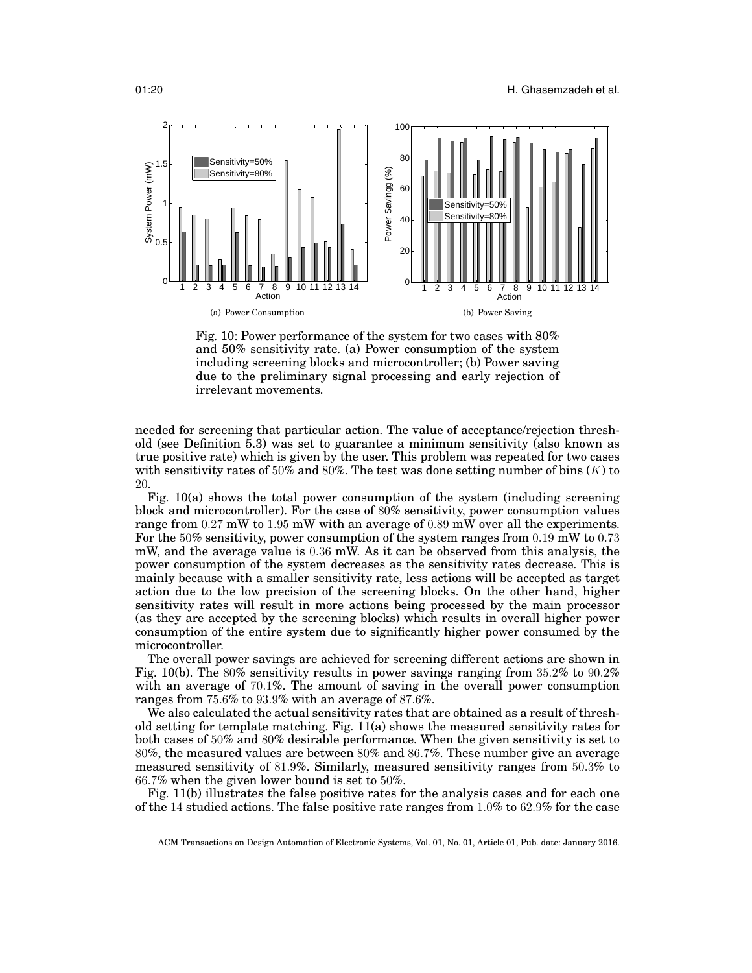

Fig. 10: Power performance of the system for two cases with 80% and 50% sensitivity rate. (a) Power consumption of the system including screening blocks and microcontroller; (b) Power saving due to the preliminary signal processing and early rejection of irrelevant movements.

needed for screening that particular action. The value of acceptance/rejection threshold (see Definition 5.3) was set to guarantee a minimum sensitivity (also known as true positive rate) which is given by the user. This problem was repeated for two cases with sensitivity rates of 50% and 80%. The test was done setting number of bins  $(K)$  to 20.

Fig. 10(a) shows the total power consumption of the system (including screening block and microcontroller). For the case of 80% sensitivity, power consumption values range from 0.27 mW to 1.95 mW with an average of 0.89 mW over all the experiments. For the 50% sensitivity, power consumption of the system ranges from 0.19 mW to 0.73 mW, and the average value is 0.36 mW. As it can be observed from this analysis, the power consumption of the system decreases as the sensitivity rates decrease. This is mainly because with a smaller sensitivity rate, less actions will be accepted as target action due to the low precision of the screening blocks. On the other hand, higher sensitivity rates will result in more actions being processed by the main processor (as they are accepted by the screening blocks) which results in overall higher power consumption of the entire system due to significantly higher power consumed by the microcontroller.

The overall power savings are achieved for screening different actions are shown in Fig. 10(b). The 80% sensitivity results in power savings ranging from 35.2% to 90.2% with an average of 70.1%. The amount of saving in the overall power consumption ranges from 75.6% to 93.9% with an average of 87.6%.

We also calculated the actual sensitivity rates that are obtained as a result of threshold setting for template matching. Fig. 11(a) shows the measured sensitivity rates for both cases of 50% and 80% desirable performance. When the given sensitivity is set to 80%, the measured values are between 80% and 86.7%. These number give an average measured sensitivity of 81.9%. Similarly, measured sensitivity ranges from 50.3% to 66.7% when the given lower bound is set to 50%.

Fig. 11(b) illustrates the false positive rates for the analysis cases and for each one of the 14 studied actions. The false positive rate ranges from  $1.0\%$  to 62.9% for the case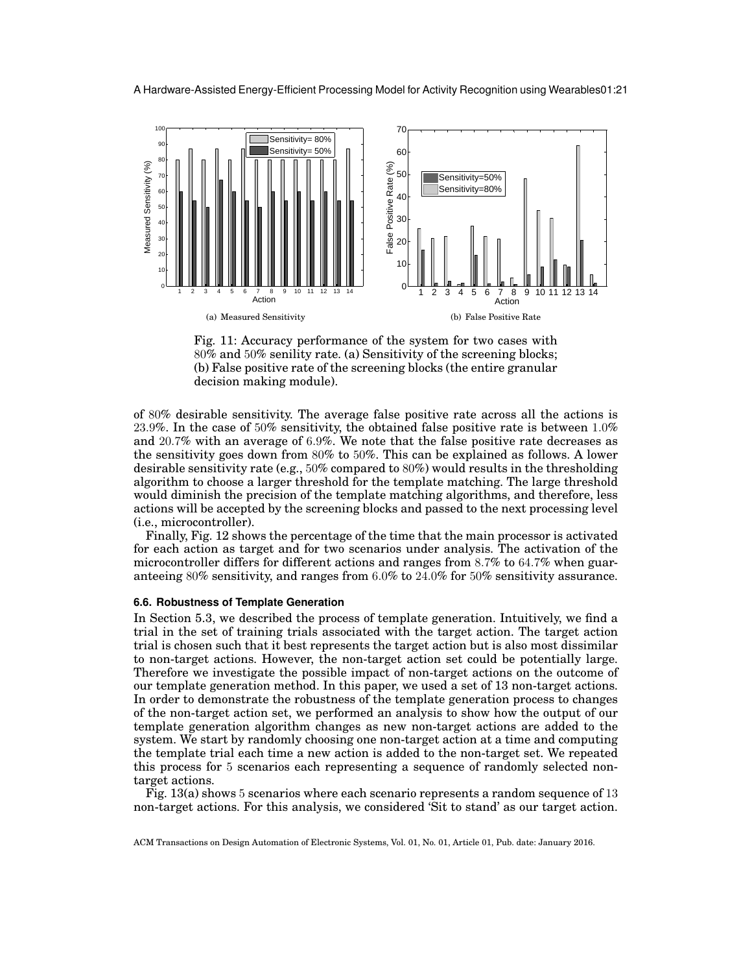

Fig. 11: Accuracy performance of the system for two cases with 80% and 50% senility rate. (a) Sensitivity of the screening blocks; (b) False positive rate of the screening blocks (the entire granular decision making module).

of 80% desirable sensitivity. The average false positive rate across all the actions is 23.9%. In the case of 50% sensitivity, the obtained false positive rate is between 1.0% and 20.7% with an average of 6.9%. We note that the false positive rate decreases as the sensitivity goes down from 80% to 50%. This can be explained as follows. A lower desirable sensitivity rate (e.g.,  $50\%$  compared to  $80\%$ ) would results in the thresholding algorithm to choose a larger threshold for the template matching. The large threshold would diminish the precision of the template matching algorithms, and therefore, less actions will be accepted by the screening blocks and passed to the next processing level (i.e., microcontroller).

Finally, Fig. 12 shows the percentage of the time that the main processor is activated for each action as target and for two scenarios under analysis. The activation of the microcontroller differs for different actions and ranges from 8.7% to 64.7% when guaranteeing 80% sensitivity, and ranges from 6.0% to 24.0% for 50% sensitivity assurance.

# **6.6. Robustness of Template Generation**

In Section 5.3, we described the process of template generation. Intuitively, we find a trial in the set of training trials associated with the target action. The target action trial is chosen such that it best represents the target action but is also most dissimilar to non-target actions. However, the non-target action set could be potentially large. Therefore we investigate the possible impact of non-target actions on the outcome of our template generation method. In this paper, we used a set of 13 non-target actions. In order to demonstrate the robustness of the template generation process to changes of the non-target action set, we performed an analysis to show how the output of our template generation algorithm changes as new non-target actions are added to the system. We start by randomly choosing one non-target action at a time and computing the template trial each time a new action is added to the non-target set. We repeated this process for 5 scenarios each representing a sequence of randomly selected nontarget actions.

Fig. 13(a) shows 5 scenarios where each scenario represents a random sequence of 13 non-target actions. For this analysis, we considered 'Sit to stand' as our target action.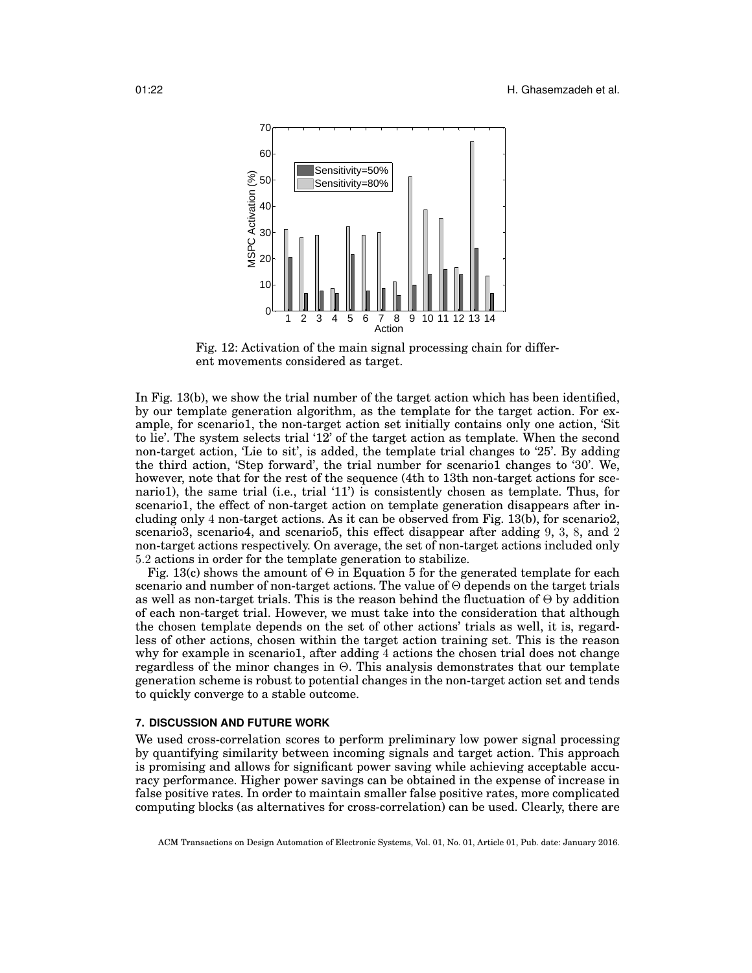

Fig. 12: Activation of the main signal processing chain for different movements considered as target.

In Fig. 13(b), we show the trial number of the target action which has been identified, by our template generation algorithm, as the template for the target action. For example, for scenario1, the non-target action set initially contains only one action, 'Sit to lie'. The system selects trial '12' of the target action as template. When the second non-target action, 'Lie to sit', is added, the template trial changes to '25'. By adding the third action, 'Step forward', the trial number for scenario1 changes to '30'. We, however, note that for the rest of the sequence (4th to 13th non-target actions for scenario1), the same trial (i.e., trial '11') is consistently chosen as template. Thus, for scenario1, the effect of non-target action on template generation disappears after including only 4 non-target actions. As it can be observed from Fig. 13(b), for scenario2, scenario3, scenario4, and scenario5, this effect disappear after adding 9, 3, 8, and 2 non-target actions respectively. On average, the set of non-target actions included only 5.2 actions in order for the template generation to stabilize.

Fig. 13(c) shows the amount of  $\Theta$  in Equation 5 for the generated template for each scenario and number of non-target actions. The value of  $\Theta$  depends on the target trials as well as non-target trials. This is the reason behind the fluctuation of  $\Theta$  by addition of each non-target trial. However, we must take into the consideration that although the chosen template depends on the set of other actions' trials as well, it is, regardless of other actions, chosen within the target action training set. This is the reason why for example in scenario1, after adding 4 actions the chosen trial does not change regardless of the minor changes in  $\Theta$ . This analysis demonstrates that our template generation scheme is robust to potential changes in the non-target action set and tends to quickly converge to a stable outcome.

# **7. DISCUSSION AND FUTURE WORK**

We used cross-correlation scores to perform preliminary low power signal processing by quantifying similarity between incoming signals and target action. This approach is promising and allows for significant power saving while achieving acceptable accuracy performance. Higher power savings can be obtained in the expense of increase in false positive rates. In order to maintain smaller false positive rates, more complicated computing blocks (as alternatives for cross-correlation) can be used. Clearly, there are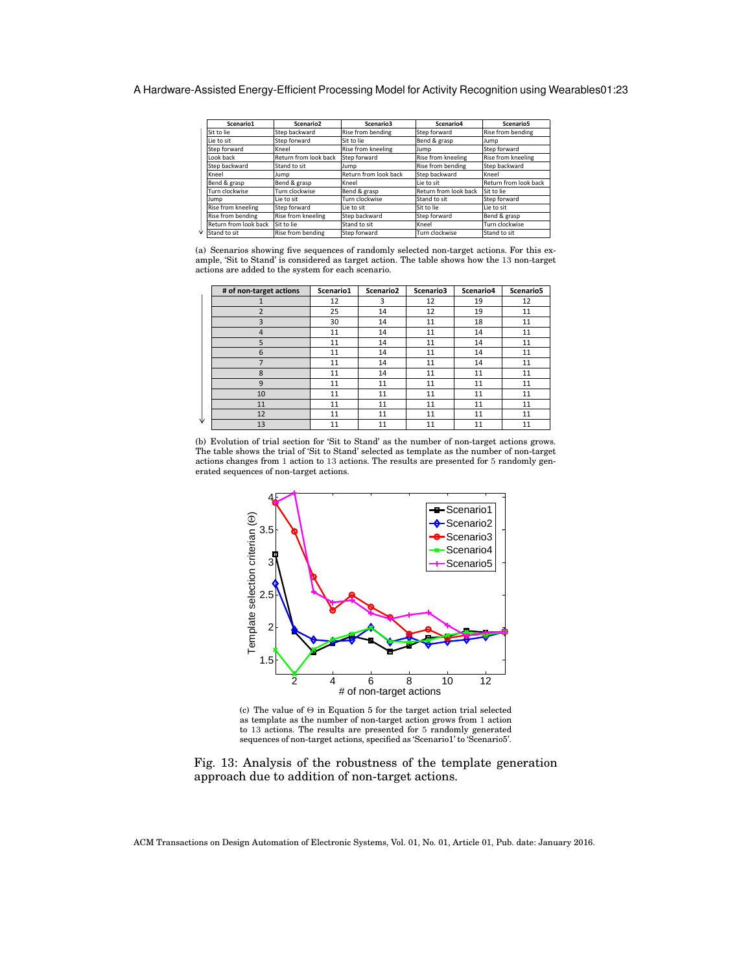| Scenario1             | Scenario <sub>2</sub>                                            | Scenario3             | Scenario4             | Scenario5             |  |
|-----------------------|------------------------------------------------------------------|-----------------------|-----------------------|-----------------------|--|
| Sit to lie            | Rise from bending<br>Step backward<br>Step forward<br>Sit to lie |                       | Step forward          | Rise from bending     |  |
| Lie to sit            |                                                                  |                       | Bend & grasp          | Jump                  |  |
| Step forward<br>Kneel |                                                                  | Rise from kneeling    | Jump                  | Step forward          |  |
| Look back             | Return from look back                                            | Step forward          | Rise from kneeling    | Rise from kneeling    |  |
| Step backward         | Stand to sit                                                     | Jump                  | Rise from bending     | Step backward         |  |
| Kneel                 | Jump                                                             | Return from look back | Step backward         | Kneel                 |  |
| Bend & grasp          | Bend & grasp                                                     | Kneel                 | Lie to sit            | Return from look back |  |
| Turn clockwise        | Turn clockwise                                                   | Bend & grasp          | Return from look back | Sit to lie            |  |
| Jump                  | Lie to sit                                                       | Turn clockwise        | Stand to sit          | Step forward          |  |
| Rise from kneeling    | Step forward                                                     | Lie to sit            | Sit to lie            | Lie to sit            |  |
| Rise from bending     | Rise from kneeling                                               | Step backward         | Step forward          | Bend & grasp          |  |
| Return from look back | Sit to lie                                                       | Stand to sit          | Kneel                 |                       |  |
| V<br>Stand to sit     | Rise from bending                                                | Step forward          | Turn clockwise        | Stand to sit          |  |

(a) Scenarios showing five sequences of randomly selected non-target actions. For this example, 'Sit to Stand' is considered as target action. The table shows how the 13 non-target actions are added to the system for each scenario.

|   | # of non-target actions | Scenario1 | Scenario <sub>2</sub> | Scenario3 | Scenario4 | Scenario5 |
|---|-------------------------|-----------|-----------------------|-----------|-----------|-----------|
|   |                         | 12        | 3                     | 12        | 19        | 12        |
|   |                         | 25        | 14                    | 12        | 19        | 11        |
|   | 3                       | 30        | 14                    | 11        | 18        | 11        |
|   | $\overline{4}$          | 11        | 14                    | 11        | 14        | 11        |
|   | 5                       | 11        | 14                    | 11        | 14        | 11        |
|   | 6                       | 11        | 14                    | 11        | 14        | 11        |
|   | 7                       | 11        | 14                    | 11        | 14        | 11        |
|   | 8                       | 11        | 14                    | 11        | 11        | 11        |
|   | 9                       | 11        | 11                    | 11        | 11        | 11        |
|   | 10                      | 11        | 11                    | 11        | 11        | 11        |
|   | 11                      | 11        | 11                    | 11        | 11        | 11        |
|   | 12                      | 11        | 11                    | 11        | 11        | 11        |
| ↓ | 13                      | 11        | 11                    | 11        | 11        | 11        |





(c) The value of  $\Theta$  in Equation 5 for the target action trial selected as template as the number of non-target action grows from 1 action to 13 actions. The results are presented for 5 randomly generated sequences of non-target actions, specified as 'Scenario1' to 'Scenario5'.

Fig. 13: Analysis of the robustness of the template generation approach due to addition of non-target actions.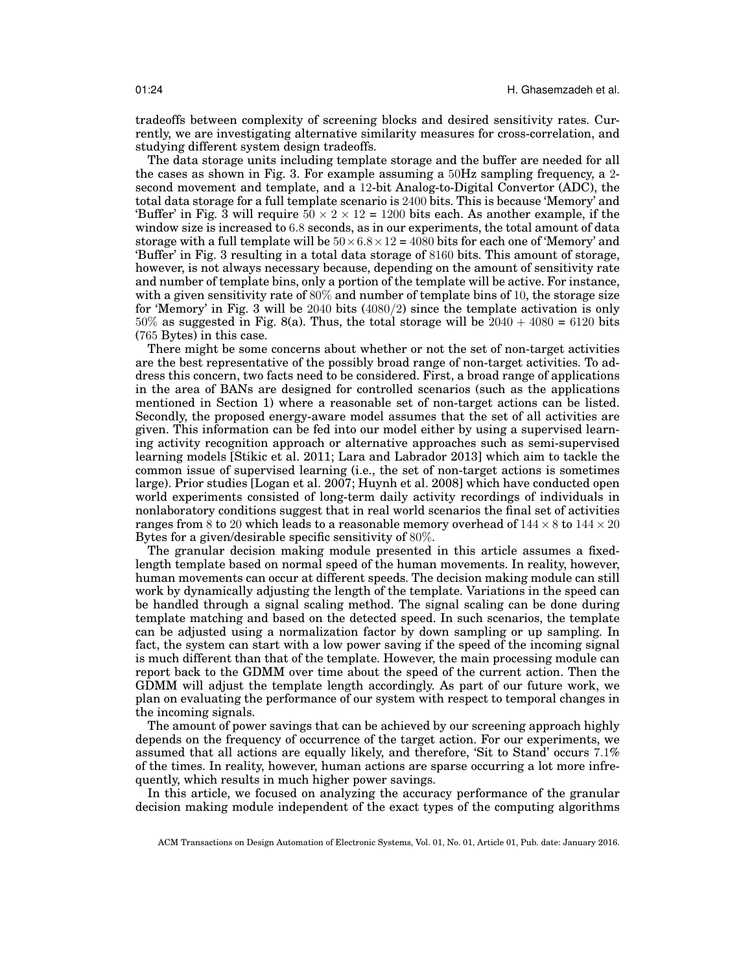tradeoffs between complexity of screening blocks and desired sensitivity rates. Currently, we are investigating alternative similarity measures for cross-correlation, and studying different system design tradeoffs.

The data storage units including template storage and the buffer are needed for all the cases as shown in Fig. 3. For example assuming a 50Hz sampling frequency, a 2 second movement and template, and a 12-bit Analog-to-Digital Convertor (ADC), the total data storage for a full template scenario is 2400 bits. This is because 'Memory' and 'Buffer' in Fig. 3 will require  $50 \times 2 \times 12 = 1200$  bits each. As another example, if the window size is increased to 6.8 seconds, as in our experiments, the total amount of data storage with a full template will be  $50 \times 6.8 \times 12 = 4080$  bits for each one of 'Memory' and 'Buffer' in Fig. 3 resulting in a total data storage of 8160 bits. This amount of storage, however, is not always necessary because, depending on the amount of sensitivity rate and number of template bins, only a portion of the template will be active. For instance, with a given sensitivity rate of  $80\%$  and number of template bins of 10, the storage size for 'Memory' in Fig. 3 will be 2040 bits (4080/2) since the template activation is only  $50\%$  as suggested in Fig. 8(a). Thus, the total storage will be  $2040 + 4080 = 6120$  bits (765 Bytes) in this case.

There might be some concerns about whether or not the set of non-target activities are the best representative of the possibly broad range of non-target activities. To address this concern, two facts need to be considered. First, a broad range of applications in the area of BANs are designed for controlled scenarios (such as the applications mentioned in Section 1) where a reasonable set of non-target actions can be listed. Secondly, the proposed energy-aware model assumes that the set of all activities are given. This information can be fed into our model either by using a supervised learning activity recognition approach or alternative approaches such as semi-supervised learning models [Stikic et al. 2011; Lara and Labrador 2013] which aim to tackle the common issue of supervised learning (i.e., the set of non-target actions is sometimes large). Prior studies [Logan et al. 2007; Huynh et al. 2008] which have conducted open world experiments consisted of long-term daily activity recordings of individuals in nonlaboratory conditions suggest that in real world scenarios the final set of activities ranges from 8 to 20 which leads to a reasonable memory overhead of  $144 \times 8$  to  $144 \times 20$ Bytes for a given/desirable specific sensitivity of 80%.

The granular decision making module presented in this article assumes a fixedlength template based on normal speed of the human movements. In reality, however, human movements can occur at different speeds. The decision making module can still work by dynamically adjusting the length of the template. Variations in the speed can be handled through a signal scaling method. The signal scaling can be done during template matching and based on the detected speed. In such scenarios, the template can be adjusted using a normalization factor by down sampling or up sampling. In fact, the system can start with a low power saving if the speed of the incoming signal is much different than that of the template. However, the main processing module can report back to the GDMM over time about the speed of the current action. Then the GDMM will adjust the template length accordingly. As part of our future work, we plan on evaluating the performance of our system with respect to temporal changes in the incoming signals.

The amount of power savings that can be achieved by our screening approach highly depends on the frequency of occurrence of the target action. For our experiments, we assumed that all actions are equally likely, and therefore, 'Sit to Stand' occurs 7.1% of the times. In reality, however, human actions are sparse occurring a lot more infrequently, which results in much higher power savings.

In this article, we focused on analyzing the accuracy performance of the granular decision making module independent of the exact types of the computing algorithms

ACM Transactions on Design Automation of Electronic Systems, Vol. 01, No. 01, Article 01, Pub. date: January 2016.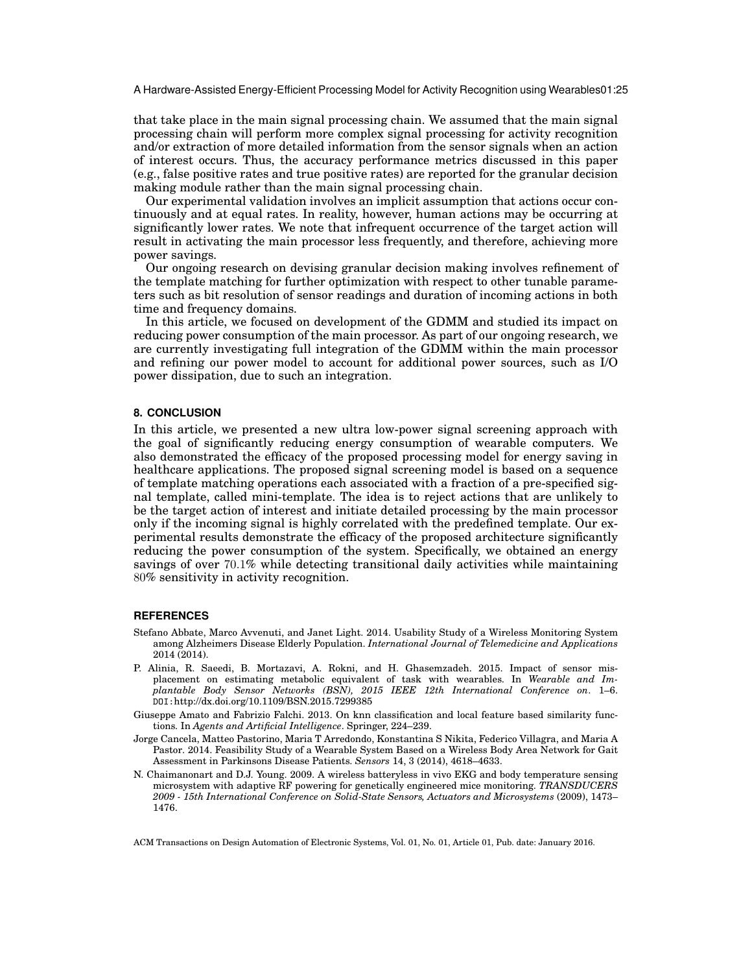that take place in the main signal processing chain. We assumed that the main signal processing chain will perform more complex signal processing for activity recognition and/or extraction of more detailed information from the sensor signals when an action of interest occurs. Thus, the accuracy performance metrics discussed in this paper (e.g., false positive rates and true positive rates) are reported for the granular decision making module rather than the main signal processing chain.

Our experimental validation involves an implicit assumption that actions occur continuously and at equal rates. In reality, however, human actions may be occurring at significantly lower rates. We note that infrequent occurrence of the target action will result in activating the main processor less frequently, and therefore, achieving more power savings.

Our ongoing research on devising granular decision making involves refinement of the template matching for further optimization with respect to other tunable parameters such as bit resolution of sensor readings and duration of incoming actions in both time and frequency domains.

In this article, we focused on development of the GDMM and studied its impact on reducing power consumption of the main processor. As part of our ongoing research, we are currently investigating full integration of the GDMM within the main processor and refining our power model to account for additional power sources, such as I/O power dissipation, due to such an integration.

# **8. CONCLUSION**

In this article, we presented a new ultra low-power signal screening approach with the goal of significantly reducing energy consumption of wearable computers. We also demonstrated the efficacy of the proposed processing model for energy saving in healthcare applications. The proposed signal screening model is based on a sequence of template matching operations each associated with a fraction of a pre-specified signal template, called mini-template. The idea is to reject actions that are unlikely to be the target action of interest and initiate detailed processing by the main processor only if the incoming signal is highly correlated with the predefined template. Our experimental results demonstrate the efficacy of the proposed architecture significantly reducing the power consumption of the system. Specifically, we obtained an energy savings of over 70.1% while detecting transitional daily activities while maintaining 80% sensitivity in activity recognition.

#### **REFERENCES**

- Stefano Abbate, Marco Avvenuti, and Janet Light. 2014. Usability Study of a Wireless Monitoring System among Alzheimers Disease Elderly Population. *International Journal of Telemedicine and Applications* 2014 (2014).
- P. Alinia, R. Saeedi, B. Mortazavi, A. Rokni, and H. Ghasemzadeh. 2015. Impact of sensor misplacement on estimating metabolic equivalent of task with wearables. In *Wearable and Implantable Body Sensor Networks (BSN), 2015 IEEE 12th International Conference on*. 1–6. DOI:http://dx.doi.org/10.1109/BSN.2015.7299385
- Giuseppe Amato and Fabrizio Falchi. 2013. On knn classification and local feature based similarity functions. In *Agents and Artificial Intelligence*. Springer, 224–239.
- Jorge Cancela, Matteo Pastorino, Maria T Arredondo, Konstantina S Nikita, Federico Villagra, and Maria A Pastor. 2014. Feasibility Study of a Wearable System Based on a Wireless Body Area Network for Gait Assessment in Parkinsons Disease Patients. *Sensors* 14, 3 (2014), 4618–4633.
- N. Chaimanonart and D.J. Young. 2009. A wireless batteryless in vivo EKG and body temperature sensing microsystem with adaptive RF powering for genetically engineered mice monitoring. *TRANSDUCERS 2009 - 15th International Conference on Solid-State Sensors, Actuators and Microsystems* (2009), 1473– 1476.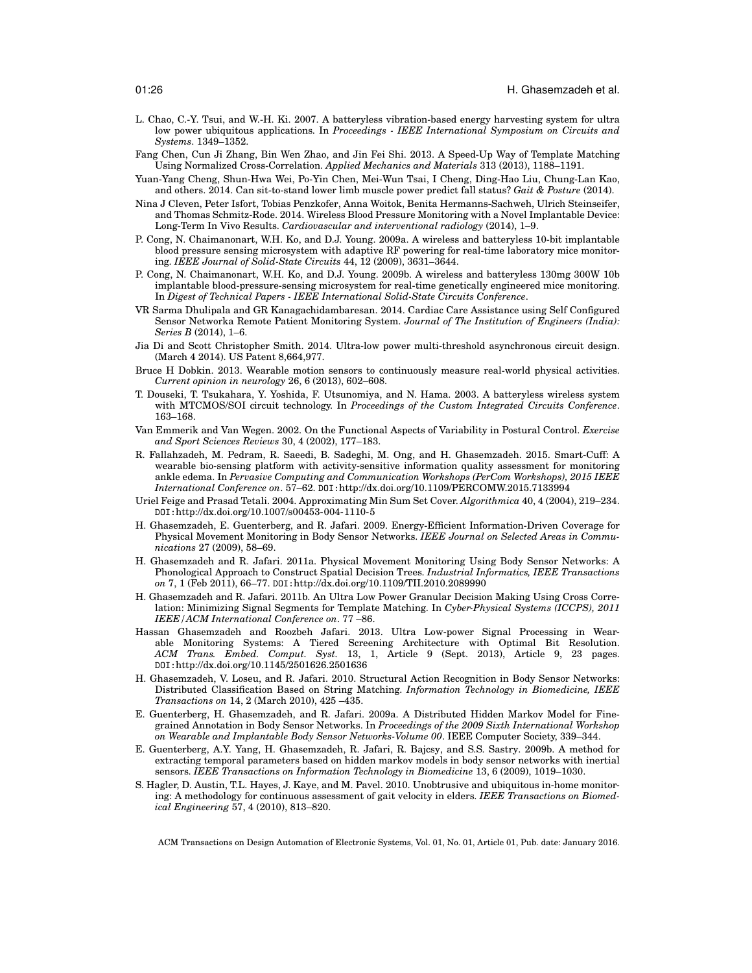- L. Chao, C.-Y. Tsui, and W.-H. Ki. 2007. A batteryless vibration-based energy harvesting system for ultra low power ubiquitous applications. In *Proceedings - IEEE International Symposium on Circuits and Systems*. 1349–1352.
- Fang Chen, Cun Ji Zhang, Bin Wen Zhao, and Jin Fei Shi. 2013. A Speed-Up Way of Template Matching Using Normalized Cross-Correlation. *Applied Mechanics and Materials* 313 (2013), 1188–1191.
- Yuan-Yang Cheng, Shun-Hwa Wei, Po-Yin Chen, Mei-Wun Tsai, I Cheng, Ding-Hao Liu, Chung-Lan Kao, and others. 2014. Can sit-to-stand lower limb muscle power predict fall status? *Gait & Posture* (2014).
- Nina J Cleven, Peter Isfort, Tobias Penzkofer, Anna Woitok, Benita Hermanns-Sachweh, Ulrich Steinseifer, and Thomas Schmitz-Rode. 2014. Wireless Blood Pressure Monitoring with a Novel Implantable Device: Long-Term In Vivo Results. *Cardiovascular and interventional radiology* (2014), 1–9.
- P. Cong, N. Chaimanonart, W.H. Ko, and D.J. Young. 2009a. A wireless and batteryless 10-bit implantable blood pressure sensing microsystem with adaptive RF powering for real-time laboratory mice monitoring. *IEEE Journal of Solid-State Circuits* 44, 12 (2009), 3631–3644.
- P. Cong, N. Chaimanonart, W.H. Ko, and D.J. Young. 2009b. A wireless and batteryless 130mg 300W 10b implantable blood-pressure-sensing microsystem for real-time genetically engineered mice monitoring. In *Digest of Technical Papers - IEEE International Solid-State Circuits Conference*.
- VR Sarma Dhulipala and GR Kanagachidambaresan. 2014. Cardiac Care Assistance using Self Configured Sensor Networka Remote Patient Monitoring System. *Journal of The Institution of Engineers (India): Series B* (2014), 1–6.
- Jia Di and Scott Christopher Smith. 2014. Ultra-low power multi-threshold asynchronous circuit design. (March 4 2014). US Patent 8,664,977.
- Bruce H Dobkin. 2013. Wearable motion sensors to continuously measure real-world physical activities. *Current opinion in neurology* 26, 6 (2013), 602–608.
- T. Douseki, T. Tsukahara, Y. Yoshida, F. Utsunomiya, and N. Hama. 2003. A batteryless wireless system with MTCMOS/SOI circuit technology. In *Proceedings of the Custom Integrated Circuits Conference*. 163–168.
- Van Emmerik and Van Wegen. 2002. On the Functional Aspects of Variability in Postural Control. *Exercise and Sport Sciences Reviews* 30, 4 (2002), 177–183.
- R. Fallahzadeh, M. Pedram, R. Saeedi, B. Sadeghi, M. Ong, and H. Ghasemzadeh. 2015. Smart-Cuff: A wearable bio-sensing platform with activity-sensitive information quality assessment for monitoring ankle edema. In *Pervasive Computing and Communication Workshops (PerCom Workshops), 2015 IEEE International Conference on*. 57–62. DOI:http://dx.doi.org/10.1109/PERCOMW.2015.7133994
- Uriel Feige and Prasad Tetali. 2004. Approximating Min Sum Set Cover. *Algorithmica* 40, 4 (2004), 219–234. DOI:http://dx.doi.org/10.1007/s00453-004-1110-5
- H. Ghasemzadeh, E. Guenterberg, and R. Jafari. 2009. Energy-Efficient Information-Driven Coverage for Physical Movement Monitoring in Body Sensor Networks. *IEEE Journal on Selected Areas in Communications* 27 (2009), 58–69.
- H. Ghasemzadeh and R. Jafari. 2011a. Physical Movement Monitoring Using Body Sensor Networks: A Phonological Approach to Construct Spatial Decision Trees. *Industrial Informatics, IEEE Transactions on* 7, 1 (Feb 2011), 66–77. DOI:http://dx.doi.org/10.1109/TII.2010.2089990
- H. Ghasemzadeh and R. Jafari. 2011b. An Ultra Low Power Granular Decision Making Using Cross Correlation: Minimizing Signal Segments for Template Matching. In *Cyber-Physical Systems (ICCPS), 2011 IEEE/ACM International Conference on*. 77 –86.
- Hassan Ghasemzadeh and Roozbeh Jafari. 2013. Ultra Low-power Signal Processing in Wearable Monitoring Systems: A Tiered Screening Architecture with Optimal Bit Resolution. *ACM Trans. Embed. Comput. Syst.* 13, 1, Article 9 (Sept. 2013), Article 9, 23 pages. DOI:http://dx.doi.org/10.1145/2501626.2501636
- H. Ghasemzadeh, V. Loseu, and R. Jafari. 2010. Structural Action Recognition in Body Sensor Networks: Distributed Classification Based on String Matching. *Information Technology in Biomedicine, IEEE Transactions on* 14, 2 (March 2010), 425 –435.
- E. Guenterberg, H. Ghasemzadeh, and R. Jafari. 2009a. A Distributed Hidden Markov Model for Finegrained Annotation in Body Sensor Networks. In *Proceedings of the 2009 Sixth International Workshop on Wearable and Implantable Body Sensor Networks-Volume 00*. IEEE Computer Society, 339–344.
- E. Guenterberg, A.Y. Yang, H. Ghasemzadeh, R. Jafari, R. Bajcsy, and S.S. Sastry. 2009b. A method for extracting temporal parameters based on hidden markov models in body sensor networks with inertial sensors. *IEEE Transactions on Information Technology in Biomedicine* 13, 6 (2009), 1019–1030.
- S. Hagler, D. Austin, T.L. Hayes, J. Kaye, and M. Pavel. 2010. Unobtrusive and ubiquitous in-home monitoring: A methodology for continuous assessment of gait velocity in elders. *IEEE Transactions on Biomedical Engineering* 57, 4 (2010), 813–820.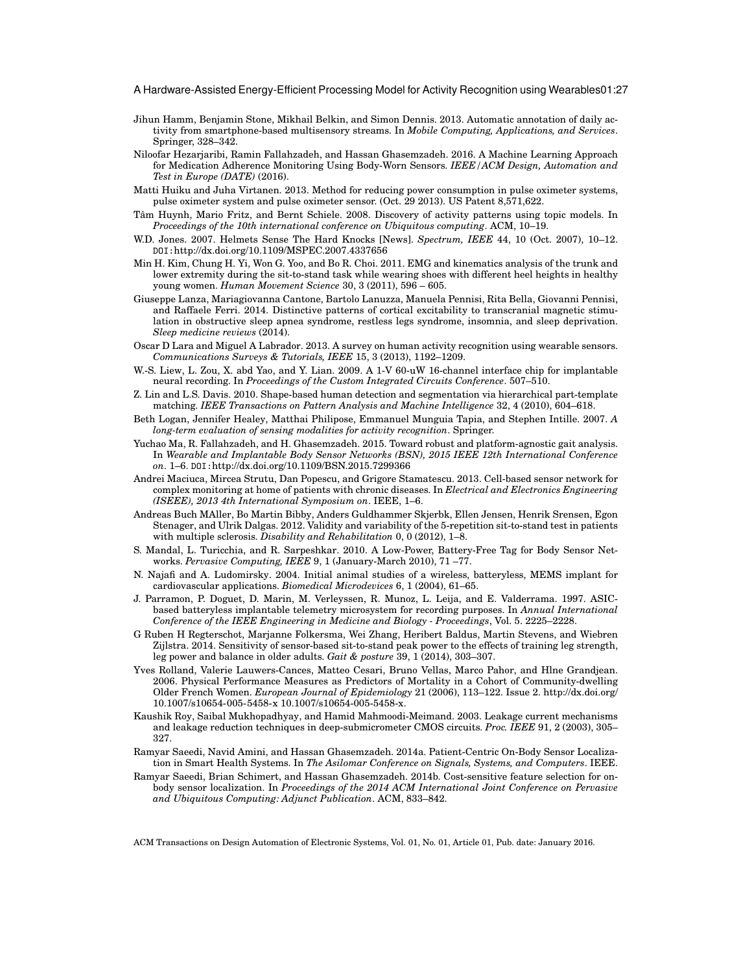- Jihun Hamm, Benjamin Stone, Mikhail Belkin, and Simon Dennis. 2013. Automatic annotation of daily activity from smartphone-based multisensory streams. In *Mobile Computing, Applications, and Services*. Springer, 328–342.
- Niloofar Hezarjaribi, Ramin Fallahzadeh, and Hassan Ghasemzadeh. 2016. A Machine Learning Approach for Medication Adherence Monitoring Using Body-Worn Sensors. *IEEE/ACM Design, Automation and Test in Europe (DATE)* (2016).
- Matti Huiku and Juha Virtanen. 2013. Method for reducing power consumption in pulse oximeter systems, pulse oximeter system and pulse oximeter sensor. (Oct. 29 2013). US Patent 8,571,622.
- Tâm Huynh, Mario Fritz, and Bernt Schiele. 2008. Discovery of activity patterns using topic models. In *Proceedings of the 10th international conference on Ubiquitous computing*. ACM, 10–19.
- W.D. Jones. 2007. Helmets Sense The Hard Knocks [News]. *Spectrum, IEEE* 44, 10 (Oct. 2007), 10–12. DOI:http://dx.doi.org/10.1109/MSPEC.2007.4337656
- Min H. Kim, Chung H. Yi, Won G. Yoo, and Bo R. Choi. 2011. EMG and kinematics analysis of the trunk and lower extremity during the sit-to-stand task while wearing shoes with different heel heights in healthy young women. *Human Movement Science* 30, 3 (2011), 596 – 605.
- Giuseppe Lanza, Mariagiovanna Cantone, Bartolo Lanuzza, Manuela Pennisi, Rita Bella, Giovanni Pennisi, and Raffaele Ferri. 2014. Distinctive patterns of cortical excitability to transcranial magnetic stimulation in obstructive sleep apnea syndrome, restless legs syndrome, insomnia, and sleep deprivation. *Sleep medicine reviews* (2014).
- Oscar D Lara and Miguel A Labrador. 2013. A survey on human activity recognition using wearable sensors. *Communications Surveys & Tutorials, IEEE* 15, 3 (2013), 1192–1209.
- W.-S. Liew, L. Zou, X. abd Yao, and Y. Lian. 2009. A 1-V 60-uW 16-channel interface chip for implantable neural recording. In *Proceedings of the Custom Integrated Circuits Conference*. 507–510.
- Z. Lin and L.S. Davis. 2010. Shape-based human detection and segmentation via hierarchical part-template matching. *IEEE Transactions on Pattern Analysis and Machine Intelligence* 32, 4 (2010), 604–618.
- Beth Logan, Jennifer Healey, Matthai Philipose, Emmanuel Munguia Tapia, and Stephen Intille. 2007. *A long-term evaluation of sensing modalities for activity recognition*. Springer.
- Yuchao Ma, R. Fallahzadeh, and H. Ghasemzadeh. 2015. Toward robust and platform-agnostic gait analysis. In *Wearable and Implantable Body Sensor Networks (BSN), 2015 IEEE 12th International Conference on*. 1–6. DOI:http://dx.doi.org/10.1109/BSN.2015.7299366
- Andrei Maciuca, Mircea Strutu, Dan Popescu, and Grigore Stamatescu. 2013. Cell-based sensor network for complex monitoring at home of patients with chronic diseases. In *Electrical and Electronics Engineering (ISEEE), 2013 4th International Symposium on*. IEEE, 1–6.
- Andreas Buch MAller, Bo Martin Bibby, Anders Guldhammer Skjerbk, Ellen Jensen, Henrik Srensen, Egon Stenager, and Ulrik Dalgas. 2012. Validity and variability of the 5-repetition sit-to-stand test in patients with multiple sclerosis. *Disability and Rehabilitation* 0, 0 (2012), 1–8.
- S. Mandal, L. Turicchia, and R. Sarpeshkar. 2010. A Low-Power, Battery-Free Tag for Body Sensor Networks. *Pervasive Computing, IEEE* 9, 1 (January-March 2010), 71 –77.
- N. Najafi and A. Ludomirsky. 2004. Initial animal studies of a wireless, batteryless, MEMS implant for cardiovascular applications. *Biomedical Microdevices* 6, 1 (2004), 61–65.
- J. Parramon, P. Doguet, D. Marin, M. Verleyssen, R. Munoz, L. Leija, and E. Valderrama. 1997. ASICbased batteryless implantable telemetry microsystem for recording purposes. In *Annual International Conference of the IEEE Engineering in Medicine and Biology - Proceedings*, Vol. 5. 2225–2228.
- G Ruben H Regterschot, Marjanne Folkersma, Wei Zhang, Heribert Baldus, Martin Stevens, and Wiebren Zijlstra. 2014. Sensitivity of sensor-based sit-to-stand peak power to the effects of training leg strength, leg power and balance in older adults. *Gait & posture* 39, 1 (2014), 303–307.
- Yves Rolland, Valerie Lauwers-Cances, Matteo Cesari, Bruno Vellas, Marco Pahor, and Hlne Grandjean. 2006. Physical Performance Measures as Predictors of Mortality in a Cohort of Community-dwelling Older French Women. *European Journal of Epidemiology* 21 (2006), 113–122. Issue 2. http://dx.doi.org/ 10.1007/s10654-005-5458-x 10.1007/s10654-005-5458-x.
- Kaushik Roy, Saibal Mukhopadhyay, and Hamid Mahmoodi-Meimand. 2003. Leakage current mechanisms and leakage reduction techniques in deep-submicrometer CMOS circuits. *Proc. IEEE* 91, 2 (2003), 305– 327.
- Ramyar Saeedi, Navid Amini, and Hassan Ghasemzadeh. 2014a. Patient-Centric On-Body Sensor Localization in Smart Health Systems. In *The Asilomar Conference on Signals, Systems, and Computers*. IEEE.
- Ramyar Saeedi, Brian Schimert, and Hassan Ghasemzadeh. 2014b. Cost-sensitive feature selection for onbody sensor localization. In *Proceedings of the 2014 ACM International Joint Conference on Pervasive and Ubiquitous Computing: Adjunct Publication*. ACM, 833–842.